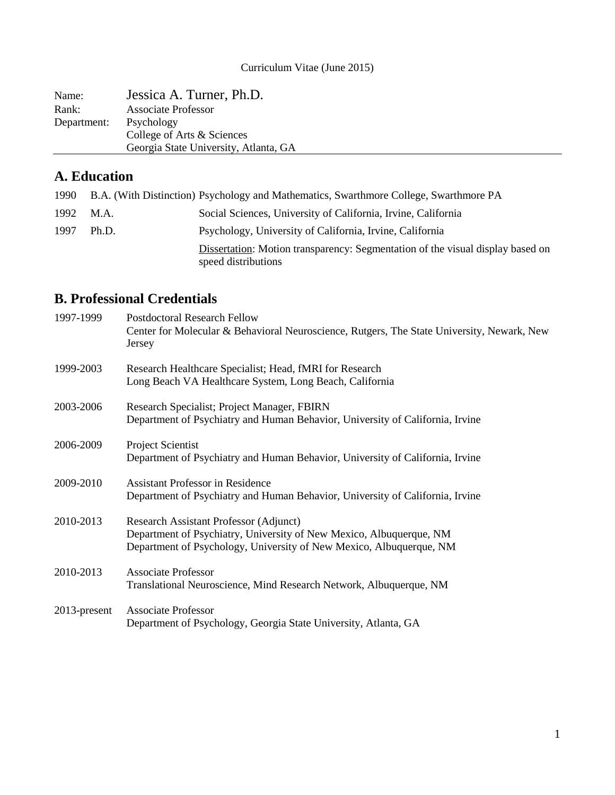### Curriculum Vitae (June 2015)

| Name:       | Jessica A. Turner, Ph.D.              |
|-------------|---------------------------------------|
| Rank:       | <b>Associate Professor</b>            |
| Department: | Psychology                            |
|             | College of Arts & Sciences            |
|             | Georgia State University, Atlanta, GA |

# **A. Education**

| 1990 |       | B.A. (With Distinction) Psychology and Mathematics, Swarthmore College, Swarthmore PA                 |
|------|-------|-------------------------------------------------------------------------------------------------------|
| 1992 | M.A.  | Social Sciences, University of California, Irvine, California                                         |
| 1997 | Ph.D. | Psychology, University of California, Irvine, California                                              |
|      |       | Dissertation: Motion transparency: Segmentation of the visual display based on<br>speed distributions |

# **B. Professional Credentials**

| 1997-1999       | Postdoctoral Research Fellow<br>Center for Molecular & Behavioral Neuroscience, Rutgers, The State University, Newark, New<br>Jersey                                                 |
|-----------------|--------------------------------------------------------------------------------------------------------------------------------------------------------------------------------------|
| 1999-2003       | Research Healthcare Specialist; Head, fMRI for Research<br>Long Beach VA Healthcare System, Long Beach, California                                                                   |
| 2003-2006       | Research Specialist; Project Manager, FBIRN<br>Department of Psychiatry and Human Behavior, University of California, Irvine                                                         |
| 2006-2009       | Project Scientist<br>Department of Psychiatry and Human Behavior, University of California, Irvine                                                                                   |
| 2009-2010       | <b>Assistant Professor in Residence</b><br>Department of Psychiatry and Human Behavior, University of California, Irvine                                                             |
| 2010-2013       | Research Assistant Professor (Adjunct)<br>Department of Psychiatry, University of New Mexico, Albuquerque, NM<br>Department of Psychology, University of New Mexico, Albuquerque, NM |
| 2010-2013       | Associate Professor<br>Translational Neuroscience, Mind Research Network, Albuquerque, NM                                                                                            |
| $2013$ -present | <b>Associate Professor</b><br>Department of Psychology, Georgia State University, Atlanta, GA                                                                                        |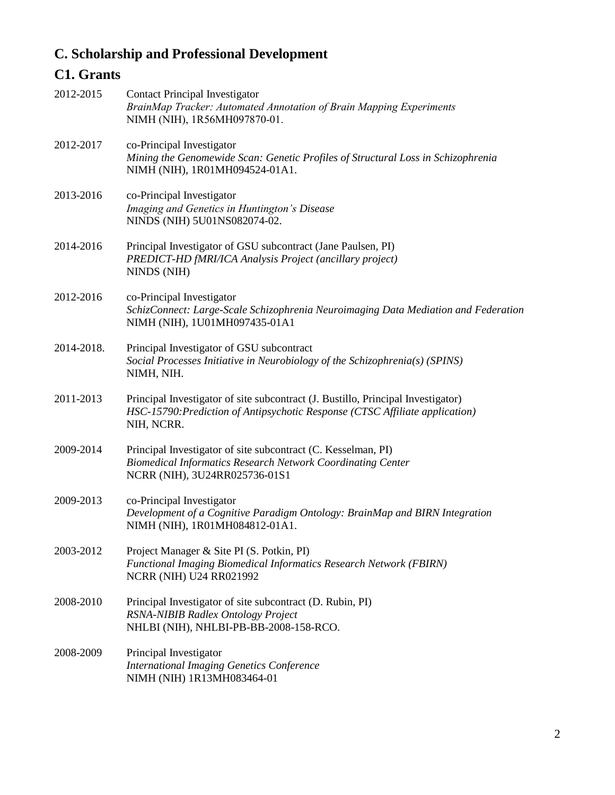# **C. Scholarship and Professional Development**

# **C1. Grants**

| 2012-2015  | <b>Contact Principal Investigator</b><br>BrainMap Tracker: Automated Annotation of Brain Mapping Experiments<br>NIMH (NIH), 1R56MH097870-01.                                   |
|------------|--------------------------------------------------------------------------------------------------------------------------------------------------------------------------------|
| 2012-2017  | co-Principal Investigator<br>Mining the Genomewide Scan: Genetic Profiles of Structural Loss in Schizophrenia<br>NIMH (NIH), 1R01MH094524-01A1.                                |
| 2013-2016  | co-Principal Investigator<br>Imaging and Genetics in Huntington's Disease<br>NINDS (NIH) 5U01NS082074-02.                                                                      |
| 2014-2016  | Principal Investigator of GSU subcontract (Jane Paulsen, PI)<br>PREDICT-HD fMRI/ICA Analysis Project (ancillary project)<br>NINDS (NIH)                                        |
| 2012-2016  | co-Principal Investigator<br>SchizConnect: Large-Scale Schizophrenia Neuroimaging Data Mediation and Federation<br>NIMH (NIH), 1U01MH097435-01A1                               |
| 2014-2018. | Principal Investigator of GSU subcontract<br>Social Processes Initiative in Neurobiology of the Schizophrenia(s) (SPINS)<br>NIMH, NIH.                                         |
| 2011-2013  | Principal Investigator of site subcontract (J. Bustillo, Principal Investigator)<br>HSC-15790: Prediction of Antipsychotic Response (CTSC Affiliate application)<br>NIH, NCRR. |
| 2009-2014  | Principal Investigator of site subcontract (C. Kesselman, PI)<br><b>Biomedical Informatics Research Network Coordinating Center</b><br>NCRR (NIH), 3U24RR025736-01S1           |
| 2009-2013  | co-Principal Investigator<br>Development of a Cognitive Paradigm Ontology: BrainMap and BIRN Integration<br>NIMH (NIH), 1R01MH084812-01A1.                                     |
| 2003-2012  | Project Manager & Site PI (S. Potkin, PI)<br><b>Functional Imaging Biomedical Informatics Research Network (FBIRN)</b><br><b>NCRR (NIH) U24 RR021992</b>                       |
| 2008-2010  | Principal Investigator of site subcontract (D. Rubin, PI)<br>RSNA-NIBIB Radlex Ontology Project<br>NHLBI (NIH), NHLBI-PB-BB-2008-158-RCO.                                      |
| 2008-2009  | Principal Investigator<br><b>International Imaging Genetics Conference</b><br>NIMH (NIH) 1R13MH083464-01                                                                       |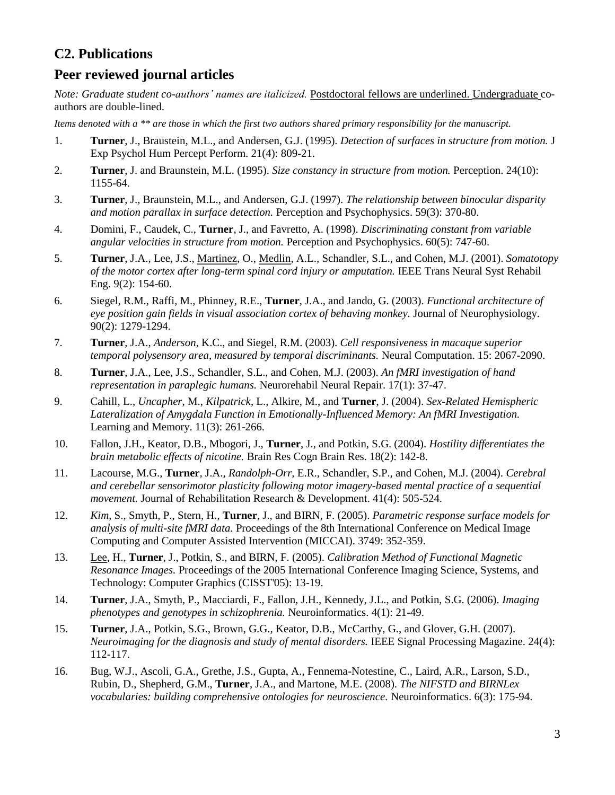# **C2. Publications**

# **Peer reviewed journal articles**

*Note: Graduate student co-authors' names are italicized. Postdoctoral fellows are underlined. Undergraduate co*authors are double-lined.

*Items denoted with a \*\* are those in which the first two authors shared primary responsibility for the manuscript.* 

- 1. **Turner**, J., Braustein, M.L., and Andersen, G.J. (1995). *Detection of surfaces in structure from motion.* J Exp Psychol Hum Percept Perform. 21(4): 809-21.
- 2. **Turner**, J. and Braunstein, M.L. (1995). *Size constancy in structure from motion.* Perception. 24(10): 1155-64.
- 3. **Turner**, J., Braunstein, M.L., and Andersen, G.J. (1997). *The relationship between binocular disparity and motion parallax in surface detection.* Perception and Psychophysics. 59(3): 370-80.
- 4. Domini, F., Caudek, C., **Turner**, J., and Favretto, A. (1998). *Discriminating constant from variable angular velocities in structure from motion.* Perception and Psychophysics. 60(5): 747-60.
- 5. **Turner**, J.A., Lee, J.S., Martinez, O., Medlin, A.L., Schandler, S.L., and Cohen, M.J. (2001). *Somatotopy of the motor cortex after long-term spinal cord injury or amputation.* IEEE Trans Neural Syst Rehabil Eng. 9(2): 154-60.
- 6. Siegel, R.M., Raffi, M., Phinney, R.E., **Turner**, J.A., and Jando, G. (2003). *Functional architecture of eye position gain fields in visual association cortex of behaving monkey.* Journal of Neurophysiology. 90(2): 1279-1294.
- 7. **Turner**, J.A., *Anderson*, K.C., and Siegel, R.M. (2003). *Cell responsiveness in macaque superior temporal polysensory area, measured by temporal discriminants.* Neural Computation. 15: 2067-2090.
- 8. **Turner**, J.A., Lee, J.S., Schandler, S.L., and Cohen, M.J. (2003). *An fMRI investigation of hand representation in paraplegic humans.* Neurorehabil Neural Repair. 17(1): 37-47.
- 9. Cahill, L., *Uncapher*, M., *Kilpatrick*, L., Alkire, M., and **Turner**, J. (2004). *Sex-Related Hemispheric Lateralization of Amygdala Function in Emotionally-Influenced Memory: An fMRI Investigation.* Learning and Memory. 11(3): 261-266.
- 10. Fallon, J.H., Keator, D.B., Mbogori, J., **Turner**, J., and Potkin, S.G. (2004). *Hostility differentiates the brain metabolic effects of nicotine.* Brain Res Cogn Brain Res. 18(2): 142-8.
- 11. Lacourse, M.G., **Turner**, J.A., *Randolph-Orr,* E.R., Schandler, S.P., and Cohen, M.J. (2004). *Cerebral and cerebellar sensorimotor plasticity following motor imagery-based mental practice of a sequential movement.* Journal of Rehabilitation Research & Development. 41(4): 505-524.
- 12. *Kim*, S., Smyth, P., Stern, H., **Turner**, J., and BIRN, F. (2005). *Parametric response surface models for analysis of multi-site fMRI data.* Proceedings of the 8th International Conference on Medical Image Computing and Computer Assisted Intervention (MICCAI). 3749: 352-359.
- 13. Lee, H., **Turner**, J., Potkin, S., and BIRN, F. (2005). *Calibration Method of Functional Magnetic Resonance Images.* Proceedings of the 2005 International Conference Imaging Science, Systems, and Technology: Computer Graphics (CISST'05): 13-19.
- 14. **Turner**, J.A., Smyth, P., Macciardi, F., Fallon, J.H., Kennedy, J.L., and Potkin, S.G. (2006). *Imaging phenotypes and genotypes in schizophrenia.* Neuroinformatics. 4(1): 21-49.
- 15. **Turner**, J.A., Potkin, S.G., Brown, G.G., Keator, D.B., McCarthy, G., and Glover, G.H. (2007). *Neuroimaging for the diagnosis and study of mental disorders.* IEEE Signal Processing Magazine. 24(4): 112-117.
- 16. Bug, W.J., Ascoli, G.A., Grethe, J.S., Gupta, A., Fennema-Notestine, C., Laird, A.R., Larson, S.D., Rubin, D., Shepherd, G.M., **Turner**, J.A., and Martone, M.E. (2008). *The NIFSTD and BIRNLex vocabularies: building comprehensive ontologies for neuroscience.* Neuroinformatics. 6(3): 175-94.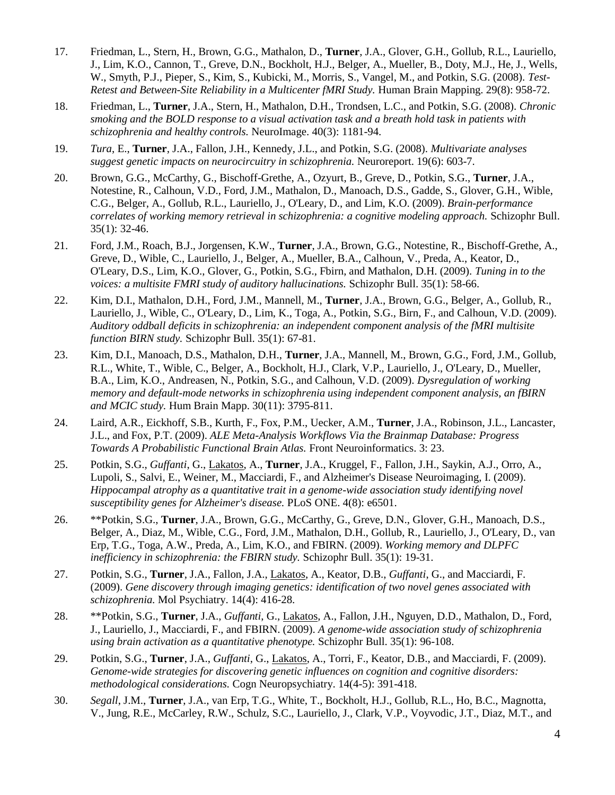- 17. Friedman, L., Stern, H., Brown, G.G., Mathalon, D., **Turner**, J.A., Glover, G.H., Gollub, R.L., Lauriello, J., Lim, K.O., Cannon, T., Greve, D.N., Bockholt, H.J., Belger, A., Mueller, B., Doty, M.J., He, J., Wells, W., Smyth, P.J., Pieper, S., Kim, S., Kubicki, M., Morris, S., Vangel, M., and Potkin, S.G. (2008). *Test-Retest and Between-Site Reliability in a Multicenter fMRI Study.* Human Brain Mapping. 29(8): 958-72.
- 18. Friedman, L., **Turner**, J.A., Stern, H., Mathalon, D.H., Trondsen, L.C., and Potkin, S.G. (2008). *Chronic smoking and the BOLD response to a visual activation task and a breath hold task in patients with schizophrenia and healthy controls.* NeuroImage. 40(3): 1181-94.
- 19. *Tura*, E., **Turner**, J.A., Fallon, J.H., Kennedy, J.L., and Potkin, S.G. (2008). *Multivariate analyses suggest genetic impacts on neurocircuitry in schizophrenia.* Neuroreport. 19(6): 603-7.
- 20. Brown, G.G., McCarthy, G., Bischoff-Grethe, A., Ozyurt, B., Greve, D., Potkin, S.G., **Turner**, J.A., Notestine, R., Calhoun, V.D., Ford, J.M., Mathalon, D., Manoach, D.S., Gadde, S., Glover, G.H., Wible, C.G., Belger, A., Gollub, R.L., Lauriello, J., O'Leary, D., and Lim, K.O. (2009). *Brain-performance correlates of working memory retrieval in schizophrenia: a cognitive modeling approach.* Schizophr Bull. 35(1): 32-46.
- 21. Ford, J.M., Roach, B.J., Jorgensen, K.W., **Turner**, J.A., Brown, G.G., Notestine, R., Bischoff-Grethe, A., Greve, D., Wible, C., Lauriello, J., Belger, A., Mueller, B.A., Calhoun, V., Preda, A., Keator, D., O'Leary, D.S., Lim, K.O., Glover, G., Potkin, S.G., Fbirn, and Mathalon, D.H. (2009). *Tuning in to the voices: a multisite FMRI study of auditory hallucinations.* Schizophr Bull. 35(1): 58-66.
- 22. Kim, D.I., Mathalon, D.H., Ford, J.M., Mannell, M., **Turner**, J.A., Brown, G.G., Belger, A., Gollub, R., Lauriello, J., Wible, C., O'Leary, D., Lim, K., Toga, A., Potkin, S.G., Birn, F., and Calhoun, V.D. (2009). *Auditory oddball deficits in schizophrenia: an independent component analysis of the fMRI multisite function BIRN study.* Schizophr Bull. 35(1): 67-81.
- 23. Kim, D.I., Manoach, D.S., Mathalon, D.H., **Turner**, J.A., Mannell, M., Brown, G.G., Ford, J.M., Gollub, R.L., White, T., Wible, C., Belger, A., Bockholt, H.J., Clark, V.P., Lauriello, J., O'Leary, D., Mueller, B.A., Lim, K.O., Andreasen, N., Potkin, S.G., and Calhoun, V.D. (2009). *Dysregulation of working memory and default-mode networks in schizophrenia using independent component analysis, an fBIRN and MCIC study.* Hum Brain Mapp. 30(11): 3795-811.
- 24. Laird, A.R., Eickhoff, S.B., Kurth, F., Fox, P.M., Uecker, A.M., **Turner**, J.A., Robinson, J.L., Lancaster, J.L., and Fox, P.T. (2009). *ALE Meta-Analysis Workflows Via the Brainmap Database: Progress Towards A Probabilistic Functional Brain Atlas.* Front Neuroinformatics. 3: 23.
- 25. Potkin, S.G., *Guffanti*, G., Lakatos, A., **Turner**, J.A., Kruggel, F., Fallon, J.H., Saykin, A.J., Orro, A., Lupoli, S., Salvi, E., Weiner, M., Macciardi, F., and Alzheimer's Disease Neuroimaging, I. (2009). *Hippocampal atrophy as a quantitative trait in a genome-wide association study identifying novel susceptibility genes for Alzheimer's disease.* PLoS ONE. 4(8): e6501.
- 26. \*\*Potkin, S.G., **Turner**, J.A., Brown, G.G., McCarthy, G., Greve, D.N., Glover, G.H., Manoach, D.S., Belger, A., Diaz, M., Wible, C.G., Ford, J.M., Mathalon, D.H., Gollub, R., Lauriello, J., O'Leary, D., van Erp, T.G., Toga, A.W., Preda, A., Lim, K.O., and FBIRN. (2009). *Working memory and DLPFC inefficiency in schizophrenia: the FBIRN study.* Schizophr Bull. 35(1): 19-31.
- 27. Potkin, S.G., **Turner**, J.A., Fallon, J.A., Lakatos, A., Keator, D.B., *Guffanti*, G., and Macciardi, F. (2009). *Gene discovery through imaging genetics: identification of two novel genes associated with schizophrenia.* Mol Psychiatry. 14(4): 416-28.
- 28. \*\*Potkin, S.G., **Turner**, J.A., *Guffanti*, G., Lakatos, A., Fallon, J.H., Nguyen, D.D., Mathalon, D., Ford, J., Lauriello, J., Macciardi, F., and FBIRN. (2009). *A genome-wide association study of schizophrenia using brain activation as a quantitative phenotype.* Schizophr Bull. 35(1): 96-108.
- 29. Potkin, S.G., **Turner**, J.A., *Guffanti*, G., Lakatos, A., Torri, F., Keator, D.B., and Macciardi, F. (2009). *Genome-wide strategies for discovering genetic influences on cognition and cognitive disorders: methodological considerations.* Cogn Neuropsychiatry. 14(4-5): 391-418.
- 30. *Segall*, J.M., **Turner**, J.A., van Erp, T.G., White, T., Bockholt, H.J., Gollub, R.L., Ho, B.C., Magnotta, V., Jung, R.E., McCarley, R.W., Schulz, S.C., Lauriello, J., Clark, V.P., Voyvodic, J.T., Diaz, M.T., and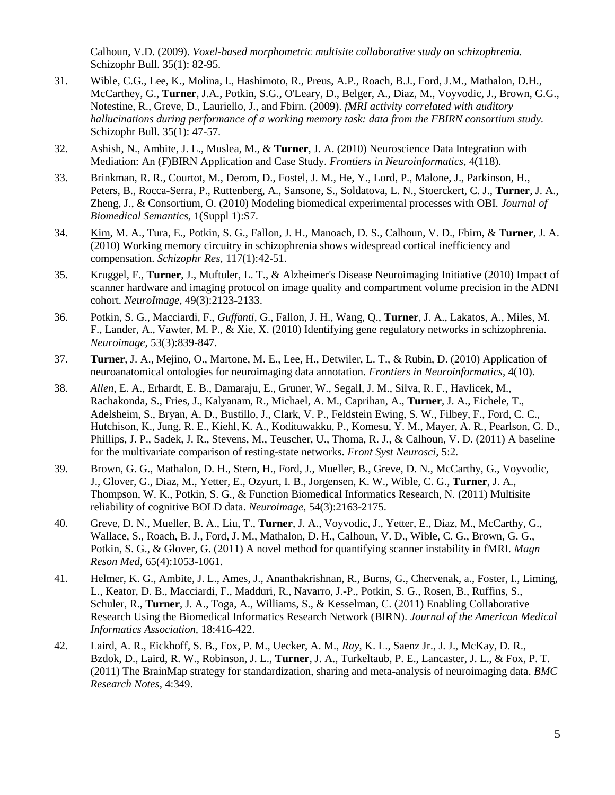Calhoun, V.D. (2009). *Voxel-based morphometric multisite collaborative study on schizophrenia.* Schizophr Bull. 35(1): 82-95.

- 31. Wible, C.G., Lee, K., Molina, I., Hashimoto, R., Preus, A.P., Roach, B.J., Ford, J.M., Mathalon, D.H., McCarthey, G., **Turner**, J.A., Potkin, S.G., O'Leary, D., Belger, A., Diaz, M., Voyvodic, J., Brown, G.G., Notestine, R., Greve, D., Lauriello, J., and Fbirn. (2009). *fMRI activity correlated with auditory hallucinations during performance of a working memory task: data from the FBIRN consortium study.* Schizophr Bull. 35(1): 47-57.
- 32. Ashish, N., Ambite, J. L., Muslea, M., & **Turner**, J. A. (2010) Neuroscience Data Integration with Mediation: An (F)BIRN Application and Case Study. *Frontiers in Neuroinformatics,* 4(118).
- 33. Brinkman, R. R., Courtot, M., Derom, D., Fostel, J. M., He, Y., Lord, P., Malone, J., Parkinson, H., Peters, B., Rocca-Serra, P., Ruttenberg, A., Sansone, S., Soldatova, L. N., Stoerckert, C. J., **Turner**, J. A., Zheng, J., & Consortium, O. (2010) Modeling biomedical experimental processes with OBI. *Journal of Biomedical Semantics,* 1(Suppl 1):S7.
- 34. Kim, M. A., Tura, E., Potkin, S. G., Fallon, J. H., Manoach, D. S., Calhoun, V. D., Fbirn, & **Turner**, J. A. (2010) Working memory circuitry in schizophrenia shows widespread cortical inefficiency and compensation. *Schizophr Res,* 117(1):42-51.
- 35. Kruggel, F., **Turner**, J., Muftuler, L. T., & Alzheimer's Disease Neuroimaging Initiative (2010) Impact of scanner hardware and imaging protocol on image quality and compartment volume precision in the ADNI cohort. *NeuroImage,* 49(3):2123-2133.
- 36. Potkin, S. G., Macciardi, F., *Guffanti*, G., Fallon, J. H., Wang, Q., **Turner**, J. A., Lakatos, A., Miles, M. F., Lander, A., Vawter, M. P., & Xie, X. (2010) Identifying gene regulatory networks in schizophrenia. *Neuroimage,* 53(3):839-847.
- 37. **Turner**, J. A., Mejino, O., Martone, M. E., Lee, H., Detwiler, L. T., & Rubin, D. (2010) Application of neuroanatomical ontologies for neuroimaging data annotation. *Frontiers in Neuroinformatics,* 4(10).
- 38. *Allen*, E. A., Erhardt, E. B., Damaraju, E., Gruner, W., Segall, J. M., Silva, R. F., Havlicek, M., Rachakonda, S., Fries, J., Kalyanam, R., Michael, A. M., Caprihan, A., **Turner**, J. A., Eichele, T., Adelsheim, S., Bryan, A. D., Bustillo, J., Clark, V. P., Feldstein Ewing, S. W., Filbey, F., Ford, C. C., Hutchison, K., Jung, R. E., Kiehl, K. A., Kodituwakku, P., Komesu, Y. M., Mayer, A. R., Pearlson, G. D., Phillips, J. P., Sadek, J. R., Stevens, M., Teuscher, U., Thoma, R. J., & Calhoun, V. D. (2011) A baseline for the multivariate comparison of resting-state networks. *Front Syst Neurosci,* 5:2.
- 39. Brown, G. G., Mathalon, D. H., Stern, H., Ford, J., Mueller, B., Greve, D. N., McCarthy, G., Voyvodic, J., Glover, G., Diaz, M., Yetter, E., Ozyurt, I. B., Jorgensen, K. W., Wible, C. G., **Turner**, J. A., Thompson, W. K., Potkin, S. G., & Function Biomedical Informatics Research, N. (2011) Multisite reliability of cognitive BOLD data. *Neuroimage,* 54(3):2163-2175.
- 40. Greve, D. N., Mueller, B. A., Liu, T., **Turner**, J. A., Voyvodic, J., Yetter, E., Diaz, M., McCarthy, G., Wallace, S., Roach, B. J., Ford, J. M., Mathalon, D. H., Calhoun, V. D., Wible, C. G., Brown, G. G., Potkin, S. G., & Glover, G. (2011) A novel method for quantifying scanner instability in fMRI. *Magn Reson Med,* 65(4):1053-1061.
- 41. Helmer, K. G., Ambite, J. L., Ames, J., Ananthakrishnan, R., Burns, G., Chervenak, a., Foster, I., Liming, L., Keator, D. B., Macciardi, F., Madduri, R., Navarro, J.-P., Potkin, S. G., Rosen, B., Ruffins, S., Schuler, R., **Turner**, J. A., Toga, A., Williams, S., & Kesselman, C. (2011) Enabling Collaborative Research Using the Biomedical Informatics Research Network (BIRN). *Journal of the American Medical Informatics Association,* 18:416-422.
- 42. Laird, A. R., Eickhoff, S. B., Fox, P. M., Uecker, A. M., *Ray*, K. L., Saenz Jr., J. J., McKay, D. R., Bzdok, D., Laird, R. W., Robinson, J. L., **Turner**, J. A., Turkeltaub, P. E., Lancaster, J. L., & Fox, P. T. (2011) The BrainMap strategy for standardization, sharing and meta-analysis of neuroimaging data. *BMC Research Notes,* 4:349.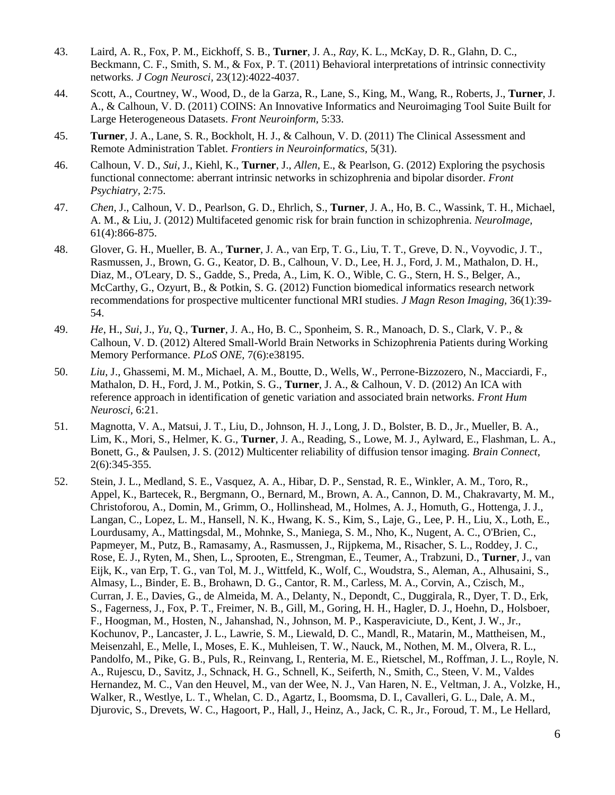- 43. Laird, A. R., Fox, P. M., Eickhoff, S. B., **Turner**, J. A., *Ray*, K. L., McKay, D. R., Glahn, D. C., Beckmann, C. F., Smith, S. M., & Fox, P. T. (2011) Behavioral interpretations of intrinsic connectivity networks. *J Cogn Neurosci,* 23(12):4022-4037.
- 44. Scott, A., Courtney, W., Wood, D., de la Garza, R., Lane, S., King, M., Wang, R., Roberts, J., **Turner**, J. A., & Calhoun, V. D. (2011) COINS: An Innovative Informatics and Neuroimaging Tool Suite Built for Large Heterogeneous Datasets. *Front Neuroinform,* 5:33.
- 45. **Turner**, J. A., Lane, S. R., Bockholt, H. J., & Calhoun, V. D. (2011) The Clinical Assessment and Remote Administration Tablet. *Frontiers in Neuroinformatics,* 5(31).
- 46. Calhoun, V. D., *Sui*, J., Kiehl, K., **Turner**, J., *Allen*, E., & Pearlson, G. (2012) Exploring the psychosis functional connectome: aberrant intrinsic networks in schizophrenia and bipolar disorder. *Front Psychiatry,* 2:75.
- 47. *Chen*, J., Calhoun, V. D., Pearlson, G. D., Ehrlich, S., **Turner**, J. A., Ho, B. C., Wassink, T. H., Michael, A. M., & Liu, J. (2012) Multifaceted genomic risk for brain function in schizophrenia. *NeuroImage,* 61(4):866-875.
- 48. Glover, G. H., Mueller, B. A., **Turner**, J. A., van Erp, T. G., Liu, T. T., Greve, D. N., Voyvodic, J. T., Rasmussen, J., Brown, G. G., Keator, D. B., Calhoun, V. D., Lee, H. J., Ford, J. M., Mathalon, D. H., Diaz, M., O'Leary, D. S., Gadde, S., Preda, A., Lim, K. O., Wible, C. G., Stern, H. S., Belger, A., McCarthy, G., Ozyurt, B., & Potkin, S. G. (2012) Function biomedical informatics research network recommendations for prospective multicenter functional MRI studies. *J Magn Reson Imaging,* 36(1):39- 54.
- 49. *He*, H., *Sui*, J., *Yu*, Q., **Turner**, J. A., Ho, B. C., Sponheim, S. R., Manoach, D. S., Clark, V. P., & Calhoun, V. D. (2012) Altered Small-World Brain Networks in Schizophrenia Patients during Working Memory Performance. *PLoS ONE,* 7(6):e38195.
- 50. *Liu*, J., Ghassemi, M. M., Michael, A. M., Boutte, D., Wells, W., Perrone-Bizzozero, N., Macciardi, F., Mathalon, D. H., Ford, J. M., Potkin, S. G., **Turner**, J. A., & Calhoun, V. D. (2012) An ICA with reference approach in identification of genetic variation and associated brain networks. *Front Hum Neurosci,* 6:21.
- 51. Magnotta, V. A., Matsui, J. T., Liu, D., Johnson, H. J., Long, J. D., Bolster, B. D., Jr., Mueller, B. A., Lim, K., Mori, S., Helmer, K. G., **Turner**, J. A., Reading, S., Lowe, M. J., Aylward, E., Flashman, L. A., Bonett, G., & Paulsen, J. S. (2012) Multicenter reliability of diffusion tensor imaging. *Brain Connect,* 2(6):345-355.
- 52. Stein, J. L., Medland, S. E., Vasquez, A. A., Hibar, D. P., Senstad, R. E., Winkler, A. M., Toro, R., Appel, K., Bartecek, R., Bergmann, O., Bernard, M., Brown, A. A., Cannon, D. M., Chakravarty, M. M., Christoforou, A., Domin, M., Grimm, O., Hollinshead, M., Holmes, A. J., Homuth, G., Hottenga, J. J., Langan, C., Lopez, L. M., Hansell, N. K., Hwang, K. S., Kim, S., Laje, G., Lee, P. H., Liu, X., Loth, E., Lourdusamy, A., Mattingsdal, M., Mohnke, S., Maniega, S. M., Nho, K., Nugent, A. C., O'Brien, C., Papmeyer, M., Putz, B., Ramasamy, A., Rasmussen, J., Rijpkema, M., Risacher, S. L., Roddey, J. C., Rose, E. J., Ryten, M., Shen, L., Sprooten, E., Strengman, E., Teumer, A., Trabzuni, D., **Turner**, J., van Eijk, K., van Erp, T. G., van Tol, M. J., Wittfeld, K., Wolf, C., Woudstra, S., Aleman, A., Alhusaini, S., Almasy, L., Binder, E. B., Brohawn, D. G., Cantor, R. M., Carless, M. A., Corvin, A., Czisch, M., Curran, J. E., Davies, G., de Almeida, M. A., Delanty, N., Depondt, C., Duggirala, R., Dyer, T. D., Erk, S., Fagerness, J., Fox, P. T., Freimer, N. B., Gill, M., Goring, H. H., Hagler, D. J., Hoehn, D., Holsboer, F., Hoogman, M., Hosten, N., Jahanshad, N., Johnson, M. P., Kasperaviciute, D., Kent, J. W., Jr., Kochunov, P., Lancaster, J. L., Lawrie, S. M., Liewald, D. C., Mandl, R., Matarin, M., Mattheisen, M., Meisenzahl, E., Melle, I., Moses, E. K., Muhleisen, T. W., Nauck, M., Nothen, M. M., Olvera, R. L., Pandolfo, M., Pike, G. B., Puls, R., Reinvang, I., Renteria, M. E., Rietschel, M., Roffman, J. L., Royle, N. A., Rujescu, D., Savitz, J., Schnack, H. G., Schnell, K., Seiferth, N., Smith, C., Steen, V. M., Valdes Hernandez, M. C., Van den Heuvel, M., van der Wee, N. J., Van Haren, N. E., Veltman, J. A., Volzke, H., Walker, R., Westlye, L. T., Whelan, C. D., Agartz, I., Boomsma, D. I., Cavalleri, G. L., Dale, A. M., Djurovic, S., Drevets, W. C., Hagoort, P., Hall, J., Heinz, A., Jack, C. R., Jr., Foroud, T. M., Le Hellard,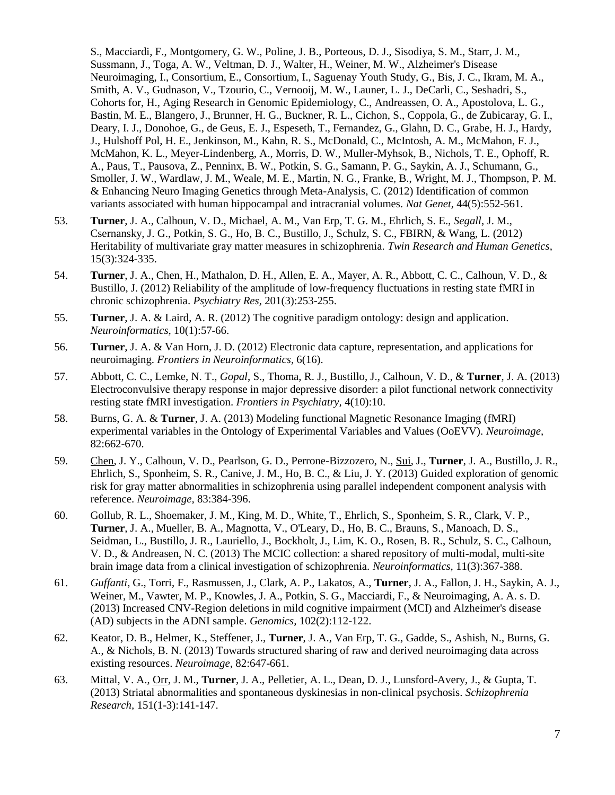S., Macciardi, F., Montgomery, G. W., Poline, J. B., Porteous, D. J., Sisodiya, S. M., Starr, J. M., Sussmann, J., Toga, A. W., Veltman, D. J., Walter, H., Weiner, M. W., Alzheimer's Disease Neuroimaging, I., Consortium, E., Consortium, I., Saguenay Youth Study, G., Bis, J. C., Ikram, M. A., Smith, A. V., Gudnason, V., Tzourio, C., Vernooij, M. W., Launer, L. J., DeCarli, C., Seshadri, S., Cohorts for, H., Aging Research in Genomic Epidemiology, C., Andreassen, O. A., Apostolova, L. G., Bastin, M. E., Blangero, J., Brunner, H. G., Buckner, R. L., Cichon, S., Coppola, G., de Zubicaray, G. I., Deary, I. J., Donohoe, G., de Geus, E. J., Espeseth, T., Fernandez, G., Glahn, D. C., Grabe, H. J., Hardy, J., Hulshoff Pol, H. E., Jenkinson, M., Kahn, R. S., McDonald, C., McIntosh, A. M., McMahon, F. J., McMahon, K. L., Meyer-Lindenberg, A., Morris, D. W., Muller-Myhsok, B., Nichols, T. E., Ophoff, R. A., Paus, T., Pausova, Z., Penninx, B. W., Potkin, S. G., Samann, P. G., Saykin, A. J., Schumann, G., Smoller, J. W., Wardlaw, J. M., Weale, M. E., Martin, N. G., Franke, B., Wright, M. J., Thompson, P. M. & Enhancing Neuro Imaging Genetics through Meta-Analysis, C. (2012) Identification of common variants associated with human hippocampal and intracranial volumes. *Nat Genet,* 44(5):552-561.

- 53. **Turner**, J. A., Calhoun, V. D., Michael, A. M., Van Erp, T. G. M., Ehrlich, S. E., *Segall*, J. M., Csernansky, J. G., Potkin, S. G., Ho, B. C., Bustillo, J., Schulz, S. C., FBIRN, & Wang, L. (2012) Heritability of multivariate gray matter measures in schizophrenia. *Twin Research and Human Genetics,* 15(3):324-335.
- 54. **Turner**, J. A., Chen, H., Mathalon, D. H., Allen, E. A., Mayer, A. R., Abbott, C. C., Calhoun, V. D., & Bustillo, J. (2012) Reliability of the amplitude of low-frequency fluctuations in resting state fMRI in chronic schizophrenia. *Psychiatry Res,* 201(3):253-255.
- 55. **Turner**, J. A. & Laird, A. R. (2012) The cognitive paradigm ontology: design and application. *Neuroinformatics,* 10(1):57-66.
- 56. **Turner**, J. A. & Van Horn, J. D. (2012) Electronic data capture, representation, and applications for neuroimaging. *Frontiers in Neuroinformatics,* 6(16).
- 57. Abbott, C. C., Lemke, N. T., *Gopal*, S., Thoma, R. J., Bustillo, J., Calhoun, V. D., & **Turner**, J. A. (2013) Electroconvulsive therapy response in major depressive disorder: a pilot functional network connectivity resting state fMRI investigation. *Frontiers in Psychiatry,* 4(10):10.
- 58. Burns, G. A. & **Turner**, J. A. (2013) Modeling functional Magnetic Resonance Imaging (fMRI) experimental variables in the Ontology of Experimental Variables and Values (OoEVV). *Neuroimage,* 82:662-670.
- 59. Chen, J. Y., Calhoun, V. D., Pearlson, G. D., Perrone-Bizzozero, N., Sui, J., **Turner**, J. A., Bustillo, J. R., Ehrlich, S., Sponheim, S. R., Canive, J. M., Ho, B. C., & Liu, J. Y. (2013) Guided exploration of genomic risk for gray matter abnormalities in schizophrenia using parallel independent component analysis with reference. *Neuroimage,* 83:384-396.
- 60. Gollub, R. L., Shoemaker, J. M., King, M. D., White, T., Ehrlich, S., Sponheim, S. R., Clark, V. P., **Turner**, J. A., Mueller, B. A., Magnotta, V., O'Leary, D., Ho, B. C., Brauns, S., Manoach, D. S., Seidman, L., Bustillo, J. R., Lauriello, J., Bockholt, J., Lim, K. O., Rosen, B. R., Schulz, S. C., Calhoun, V. D., & Andreasen, N. C. (2013) The MCIC collection: a shared repository of multi-modal, multi-site brain image data from a clinical investigation of schizophrenia. *Neuroinformatics,* 11(3):367-388.
- 61. *Guffanti*, G., Torri, F., Rasmussen, J., Clark, A. P., Lakatos, A., **Turner**, J. A., Fallon, J. H., Saykin, A. J., Weiner, M., Vawter, M. P., Knowles, J. A., Potkin, S. G., Macciardi, F., & Neuroimaging, A. A. s. D. (2013) Increased CNV-Region deletions in mild cognitive impairment (MCI) and Alzheimer's disease (AD) subjects in the ADNI sample. *Genomics,* 102(2):112-122.
- 62. Keator, D. B., Helmer, K., Steffener, J., **Turner**, J. A., Van Erp, T. G., Gadde, S., Ashish, N., Burns, G. A., & Nichols, B. N. (2013) Towards structured sharing of raw and derived neuroimaging data across existing resources. *Neuroimage,* 82:647-661.
- 63. Mittal, V. A., Orr, J. M., **Turner**, J. A., Pelletier, A. L., Dean, D. J., Lunsford-Avery, J., & Gupta, T. (2013) Striatal abnormalities and spontaneous dyskinesias in non-clinical psychosis. *Schizophrenia Research,* 151(1-3):141-147.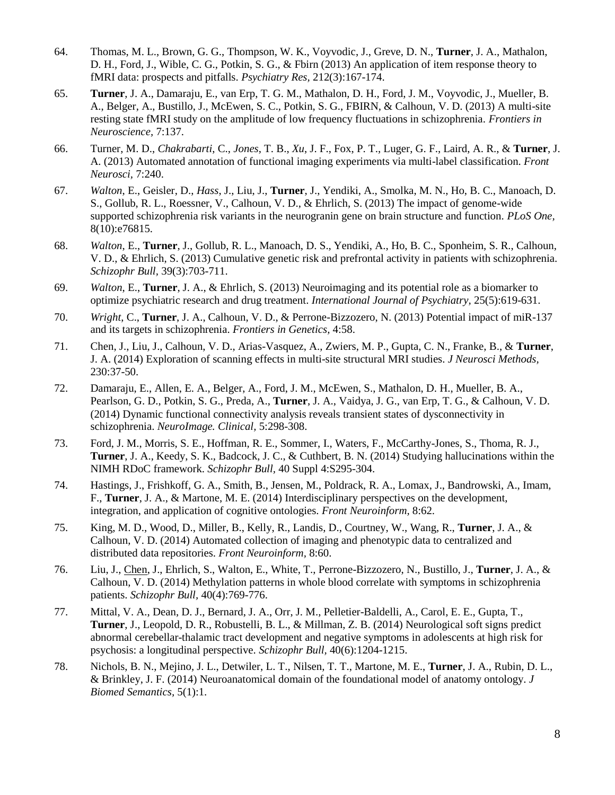- 64. Thomas, M. L., Brown, G. G., Thompson, W. K., Voyvodic, J., Greve, D. N., **Turner**, J. A., Mathalon, D. H., Ford, J., Wible, C. G., Potkin, S. G., & Fbirn (2013) An application of item response theory to fMRI data: prospects and pitfalls. *Psychiatry Res,* 212(3):167-174.
- 65. **Turner**, J. A., Damaraju, E., van Erp, T. G. M., Mathalon, D. H., Ford, J. M., Voyvodic, J., Mueller, B. A., Belger, A., Bustillo, J., McEwen, S. C., Potkin, S. G., FBIRN, & Calhoun, V. D. (2013) A multi-site resting state fMRI study on the amplitude of low frequency fluctuations in schizophrenia. *Frontiers in Neuroscience,* 7:137.
- 66. Turner, M. D., *Chakrabarti*, C., *Jones*, T. B., *Xu*, J. F., Fox, P. T., Luger, G. F., Laird, A. R., & **Turner**, J. A. (2013) Automated annotation of functional imaging experiments via multi-label classification. *Front Neurosci,* 7:240.
- 67. *Walton*, E., Geisler, D., *Hass*, J., Liu, J., **Turner**, J., Yendiki, A., Smolka, M. N., Ho, B. C., Manoach, D. S., Gollub, R. L., Roessner, V., Calhoun, V. D., & Ehrlich, S. (2013) The impact of genome-wide supported schizophrenia risk variants in the neurogranin gene on brain structure and function. *PLoS One,* 8(10):e76815.
- 68. *Walton*, E., **Turner**, J., Gollub, R. L., Manoach, D. S., Yendiki, A., Ho, B. C., Sponheim, S. R., Calhoun, V. D., & Ehrlich, S. (2013) Cumulative genetic risk and prefrontal activity in patients with schizophrenia. *Schizophr Bull,* 39(3):703-711.
- 69. *Walton*, E., **Turner**, J. A., & Ehrlich, S. (2013) Neuroimaging and its potential role as a biomarker to optimize psychiatric research and drug treatment. *International Journal of Psychiatry,* 25(5):619-631.
- 70. *Wright*, C., **Turner**, J. A., Calhoun, V. D., & Perrone-Bizzozero, N. (2013) Potential impact of miR-137 and its targets in schizophrenia. *Frontiers in Genetics,* 4:58.
- 71. Chen, J., Liu, J., Calhoun, V. D., Arias-Vasquez, A., Zwiers, M. P., Gupta, C. N., Franke, B., & **Turner**, J. A. (2014) Exploration of scanning effects in multi-site structural MRI studies. *J Neurosci Methods,* 230:37-50.
- 72. Damaraju, E., Allen, E. A., Belger, A., Ford, J. M., McEwen, S., Mathalon, D. H., Mueller, B. A., Pearlson, G. D., Potkin, S. G., Preda, A., **Turner**, J. A., Vaidya, J. G., van Erp, T. G., & Calhoun, V. D. (2014) Dynamic functional connectivity analysis reveals transient states of dysconnectivity in schizophrenia. *NeuroImage. Clinical,* 5:298-308.
- 73. Ford, J. M., Morris, S. E., Hoffman, R. E., Sommer, I., Waters, F., McCarthy-Jones, S., Thoma, R. J., **Turner**, J. A., Keedy, S. K., Badcock, J. C., & Cuthbert, B. N. (2014) Studying hallucinations within the NIMH RDoC framework. *Schizophr Bull,* 40 Suppl 4:S295-304.
- 74. Hastings, J., Frishkoff, G. A., Smith, B., Jensen, M., Poldrack, R. A., Lomax, J., Bandrowski, A., Imam, F., **Turner**, J. A., & Martone, M. E. (2014) Interdisciplinary perspectives on the development, integration, and application of cognitive ontologies. *Front Neuroinform,* 8:62.
- 75. King, M. D., Wood, D., Miller, B., Kelly, R., Landis, D., Courtney, W., Wang, R., **Turner**, J. A., & Calhoun, V. D. (2014) Automated collection of imaging and phenotypic data to centralized and distributed data repositories. *Front Neuroinform,* 8:60.
- 76. Liu, J., Chen, J., Ehrlich, S., Walton, E., White, T., Perrone-Bizzozero, N., Bustillo, J., **Turner**, J. A., & Calhoun, V. D. (2014) Methylation patterns in whole blood correlate with symptoms in schizophrenia patients. *Schizophr Bull,* 40(4):769-776.
- 77. Mittal, V. A., Dean, D. J., Bernard, J. A., Orr, J. M., Pelletier-Baldelli, A., Carol, E. E., Gupta, T., **Turner**, J., Leopold, D. R., Robustelli, B. L., & Millman, Z. B. (2014) Neurological soft signs predict abnormal cerebellar-thalamic tract development and negative symptoms in adolescents at high risk for psychosis: a longitudinal perspective. *Schizophr Bull,* 40(6):1204-1215.
- 78. Nichols, B. N., Mejino, J. L., Detwiler, L. T., Nilsen, T. T., Martone, M. E., **Turner**, J. A., Rubin, D. L., & Brinkley, J. F. (2014) Neuroanatomical domain of the foundational model of anatomy ontology. *J Biomed Semantics,* 5(1):1.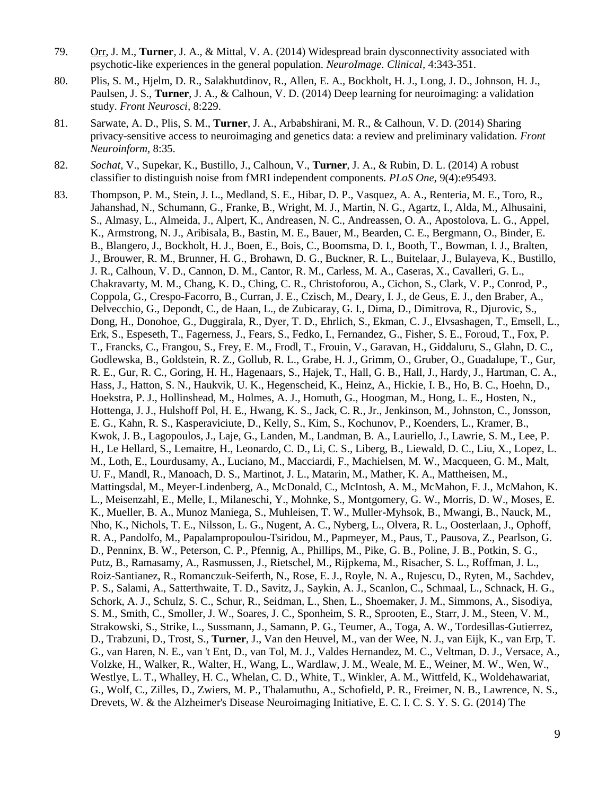- 79. Orr, J. M., **Turner**, J. A., & Mittal, V. A. (2014) Widespread brain dysconnectivity associated with psychotic-like experiences in the general population. *NeuroImage. Clinical,* 4:343-351.
- 80. Plis, S. M., Hjelm, D. R., Salakhutdinov, R., Allen, E. A., Bockholt, H. J., Long, J. D., Johnson, H. J., Paulsen, J. S., **Turner**, J. A., & Calhoun, V. D. (2014) Deep learning for neuroimaging: a validation study. *Front Neurosci,* 8:229.
- 81. Sarwate, A. D., Plis, S. M., **Turner**, J. A., Arbabshirani, M. R., & Calhoun, V. D. (2014) Sharing privacy-sensitive access to neuroimaging and genetics data: a review and preliminary validation. *Front Neuroinform,* 8:35.
- 82. *Sochat*, V., Supekar, K., Bustillo, J., Calhoun, V., **Turner**, J. A., & Rubin, D. L. (2014) A robust classifier to distinguish noise from fMRI independent components. *PLoS One,* 9(4):e95493.
- 83. Thompson, P. M., Stein, J. L., Medland, S. E., Hibar, D. P., Vasquez, A. A., Renteria, M. E., Toro, R., Jahanshad, N., Schumann, G., Franke, B., Wright, M. J., Martin, N. G., Agartz, I., Alda, M., Alhusaini, S., Almasy, L., Almeida, J., Alpert, K., Andreasen, N. C., Andreassen, O. A., Apostolova, L. G., Appel, K., Armstrong, N. J., Aribisala, B., Bastin, M. E., Bauer, M., Bearden, C. E., Bergmann, O., Binder, E. B., Blangero, J., Bockholt, H. J., Boen, E., Bois, C., Boomsma, D. I., Booth, T., Bowman, I. J., Bralten, J., Brouwer, R. M., Brunner, H. G., Brohawn, D. G., Buckner, R. L., Buitelaar, J., Bulayeva, K., Bustillo, J. R., Calhoun, V. D., Cannon, D. M., Cantor, R. M., Carless, M. A., Caseras, X., Cavalleri, G. L., Chakravarty, M. M., Chang, K. D., Ching, C. R., Christoforou, A., Cichon, S., Clark, V. P., Conrod, P., Coppola, G., Crespo-Facorro, B., Curran, J. E., Czisch, M., Deary, I. J., de Geus, E. J., den Braber, A., Delvecchio, G., Depondt, C., de Haan, L., de Zubicaray, G. I., Dima, D., Dimitrova, R., Djurovic, S., Dong, H., Donohoe, G., Duggirala, R., Dyer, T. D., Ehrlich, S., Ekman, C. J., Elvsashagen, T., Emsell, L., Erk, S., Espeseth, T., Fagerness, J., Fears, S., Fedko, I., Fernandez, G., Fisher, S. E., Foroud, T., Fox, P. T., Francks, C., Frangou, S., Frey, E. M., Frodl, T., Frouin, V., Garavan, H., Giddaluru, S., Glahn, D. C., Godlewska, B., Goldstein, R. Z., Gollub, R. L., Grabe, H. J., Grimm, O., Gruber, O., Guadalupe, T., Gur, R. E., Gur, R. C., Goring, H. H., Hagenaars, S., Hajek, T., Hall, G. B., Hall, J., Hardy, J., Hartman, C. A., Hass, J., Hatton, S. N., Haukvik, U. K., Hegenscheid, K., Heinz, A., Hickie, I. B., Ho, B. C., Hoehn, D., Hoekstra, P. J., Hollinshead, M., Holmes, A. J., Homuth, G., Hoogman, M., Hong, L. E., Hosten, N., Hottenga, J. J., Hulshoff Pol, H. E., Hwang, K. S., Jack, C. R., Jr., Jenkinson, M., Johnston, C., Jonsson, E. G., Kahn, R. S., Kasperaviciute, D., Kelly, S., Kim, S., Kochunov, P., Koenders, L., Kramer, B., Kwok, J. B., Lagopoulos, J., Laje, G., Landen, M., Landman, B. A., Lauriello, J., Lawrie, S. M., Lee, P. H., Le Hellard, S., Lemaitre, H., Leonardo, C. D., Li, C. S., Liberg, B., Liewald, D. C., Liu, X., Lopez, L. M., Loth, E., Lourdusamy, A., Luciano, M., Macciardi, F., Machielsen, M. W., Macqueen, G. M., Malt, U. F., Mandl, R., Manoach, D. S., Martinot, J. L., Matarin, M., Mather, K. A., Mattheisen, M., Mattingsdal, M., Meyer-Lindenberg, A., McDonald, C., McIntosh, A. M., McMahon, F. J., McMahon, K. L., Meisenzahl, E., Melle, I., Milaneschi, Y., Mohnke, S., Montgomery, G. W., Morris, D. W., Moses, E. K., Mueller, B. A., Munoz Maniega, S., Muhleisen, T. W., Muller-Myhsok, B., Mwangi, B., Nauck, M., Nho, K., Nichols, T. E., Nilsson, L. G., Nugent, A. C., Nyberg, L., Olvera, R. L., Oosterlaan, J., Ophoff, R. A., Pandolfo, M., Papalampropoulou-Tsiridou, M., Papmeyer, M., Paus, T., Pausova, Z., Pearlson, G. D., Penninx, B. W., Peterson, C. P., Pfennig, A., Phillips, M., Pike, G. B., Poline, J. B., Potkin, S. G., Putz, B., Ramasamy, A., Rasmussen, J., Rietschel, M., Rijpkema, M., Risacher, S. L., Roffman, J. L., Roiz-Santianez, R., Romanczuk-Seiferth, N., Rose, E. J., Royle, N. A., Rujescu, D., Ryten, M., Sachdev, P. S., Salami, A., Satterthwaite, T. D., Savitz, J., Saykin, A. J., Scanlon, C., Schmaal, L., Schnack, H. G., Schork, A. J., Schulz, S. C., Schur, R., Seidman, L., Shen, L., Shoemaker, J. M., Simmons, A., Sisodiya, S. M., Smith, C., Smoller, J. W., Soares, J. C., Sponheim, S. R., Sprooten, E., Starr, J. M., Steen, V. M., Strakowski, S., Strike, L., Sussmann, J., Samann, P. G., Teumer, A., Toga, A. W., Tordesillas-Gutierrez, D., Trabzuni, D., Trost, S., **Turner**, J., Van den Heuvel, M., van der Wee, N. J., van Eijk, K., van Erp, T. G., van Haren, N. E., van 't Ent, D., van Tol, M. J., Valdes Hernandez, M. C., Veltman, D. J., Versace, A., Volzke, H., Walker, R., Walter, H., Wang, L., Wardlaw, J. M., Weale, M. E., Weiner, M. W., Wen, W., Westlye, L. T., Whalley, H. C., Whelan, C. D., White, T., Winkler, A. M., Wittfeld, K., Woldehawariat, G., Wolf, C., Zilles, D., Zwiers, M. P., Thalamuthu, A., Schofield, P. R., Freimer, N. B., Lawrence, N. S., Drevets, W. & the Alzheimer's Disease Neuroimaging Initiative, E. C. I. C. S. Y. S. G. (2014) The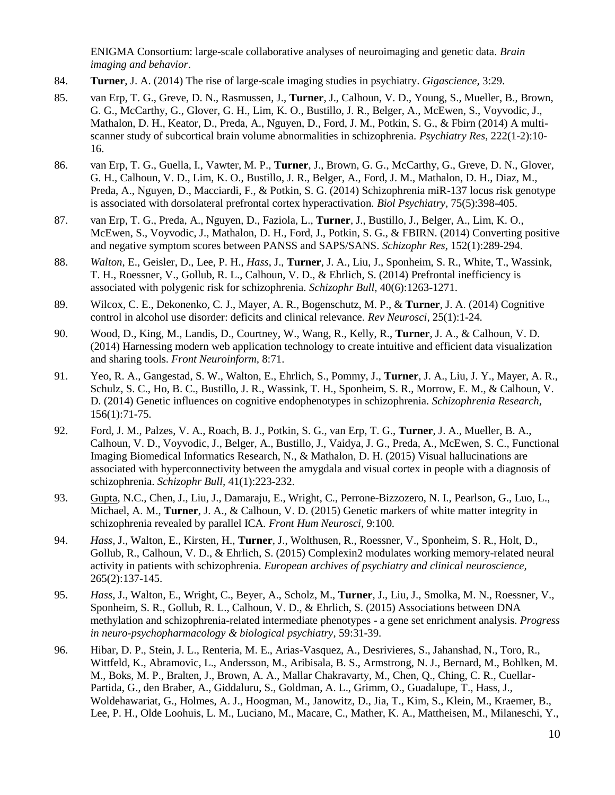ENIGMA Consortium: large-scale collaborative analyses of neuroimaging and genetic data. *Brain imaging and behavior*.

- 84. **Turner**, J. A. (2014) The rise of large-scale imaging studies in psychiatry. *Gigascience,* 3:29.
- 85. van Erp, T. G., Greve, D. N., Rasmussen, J., **Turner**, J., Calhoun, V. D., Young, S., Mueller, B., Brown, G. G., McCarthy, G., Glover, G. H., Lim, K. O., Bustillo, J. R., Belger, A., McEwen, S., Voyvodic, J., Mathalon, D. H., Keator, D., Preda, A., Nguyen, D., Ford, J. M., Potkin, S. G., & Fbirn (2014) A multiscanner study of subcortical brain volume abnormalities in schizophrenia. *Psychiatry Res,* 222(1-2):10- 16.
- 86. van Erp, T. G., Guella, I., Vawter, M. P., **Turner**, J., Brown, G. G., McCarthy, G., Greve, D. N., Glover, G. H., Calhoun, V. D., Lim, K. O., Bustillo, J. R., Belger, A., Ford, J. M., Mathalon, D. H., Diaz, M., Preda, A., Nguyen, D., Macciardi, F., & Potkin, S. G. (2014) Schizophrenia miR-137 locus risk genotype is associated with dorsolateral prefrontal cortex hyperactivation. *Biol Psychiatry,* 75(5):398-405.
- 87. van Erp, T. G., Preda, A., Nguyen, D., Faziola, L., **Turner**, J., Bustillo, J., Belger, A., Lim, K. O., McEwen, S., Voyvodic, J., Mathalon, D. H., Ford, J., Potkin, S. G., & FBIRN. (2014) Converting positive and negative symptom scores between PANSS and SAPS/SANS. *Schizophr Res,* 152(1):289-294.
- 88. *Walton*, E., Geisler, D., Lee, P. H., *Hass*, J., **Turner**, J. A., Liu, J., Sponheim, S. R., White, T., Wassink, T. H., Roessner, V., Gollub, R. L., Calhoun, V. D., & Ehrlich, S. (2014) Prefrontal inefficiency is associated with polygenic risk for schizophrenia. *Schizophr Bull,* 40(6):1263-1271.
- 89. Wilcox, C. E., Dekonenko, C. J., Mayer, A. R., Bogenschutz, M. P., & **Turner**, J. A. (2014) Cognitive control in alcohol use disorder: deficits and clinical relevance. *Rev Neurosci,* 25(1):1-24.
- 90. Wood, D., King, M., Landis, D., Courtney, W., Wang, R., Kelly, R., **Turner**, J. A., & Calhoun, V. D. (2014) Harnessing modern web application technology to create intuitive and efficient data visualization and sharing tools. *Front Neuroinform,* 8:71.
- 91. Yeo, R. A., Gangestad, S. W., Walton, E., Ehrlich, S., Pommy, J., **Turner**, J. A., Liu, J. Y., Mayer, A. R., Schulz, S. C., Ho, B. C., Bustillo, J. R., Wassink, T. H., Sponheim, S. R., Morrow, E. M., & Calhoun, V. D. (2014) Genetic influences on cognitive endophenotypes in schizophrenia. *Schizophrenia Research,* 156(1):71-75.
- 92. Ford, J. M., Palzes, V. A., Roach, B. J., Potkin, S. G., van Erp, T. G., **Turner**, J. A., Mueller, B. A., Calhoun, V. D., Voyvodic, J., Belger, A., Bustillo, J., Vaidya, J. G., Preda, A., McEwen, S. C., Functional Imaging Biomedical Informatics Research, N., & Mathalon, D. H. (2015) Visual hallucinations are associated with hyperconnectivity between the amygdala and visual cortex in people with a diagnosis of schizophrenia. *Schizophr Bull,* 41(1):223-232.
- 93. Gupta, N.C., Chen, J., Liu, J., Damaraju, E., Wright, C., Perrone-Bizzozero, N. I., Pearlson, G., Luo, L., Michael, A. M., **Turner**, J. A., & Calhoun, V. D. (2015) Genetic markers of white matter integrity in schizophrenia revealed by parallel ICA. *Front Hum Neurosci,* 9:100.
- 94. *Hass*, J., Walton, E., Kirsten, H., **Turner**, J., Wolthusen, R., Roessner, V., Sponheim, S. R., Holt, D., Gollub, R., Calhoun, V. D., & Ehrlich, S. (2015) Complexin2 modulates working memory-related neural activity in patients with schizophrenia. *European archives of psychiatry and clinical neuroscience,* 265(2):137-145.
- 95. *Hass*, J., Walton, E., Wright, C., Beyer, A., Scholz, M., **Turner**, J., Liu, J., Smolka, M. N., Roessner, V., Sponheim, S. R., Gollub, R. L., Calhoun, V. D., & Ehrlich, S. (2015) Associations between DNA methylation and schizophrenia-related intermediate phenotypes - a gene set enrichment analysis. *Progress in neuro-psychopharmacology & biological psychiatry,* 59:31-39.
- 96. Hibar, D. P., Stein, J. L., Renteria, M. E., Arias-Vasquez, A., Desrivieres, S., Jahanshad, N., Toro, R., Wittfeld, K., Abramovic, L., Andersson, M., Aribisala, B. S., Armstrong, N. J., Bernard, M., Bohlken, M. M., Boks, M. P., Bralten, J., Brown, A. A., Mallar Chakravarty, M., Chen, Q., Ching, C. R., Cuellar-Partida, G., den Braber, A., Giddaluru, S., Goldman, A. L., Grimm, O., Guadalupe, T., Hass, J., Woldehawariat, G., Holmes, A. J., Hoogman, M., Janowitz, D., Jia, T., Kim, S., Klein, M., Kraemer, B., Lee, P. H., Olde Loohuis, L. M., Luciano, M., Macare, C., Mather, K. A., Mattheisen, M., Milaneschi, Y.,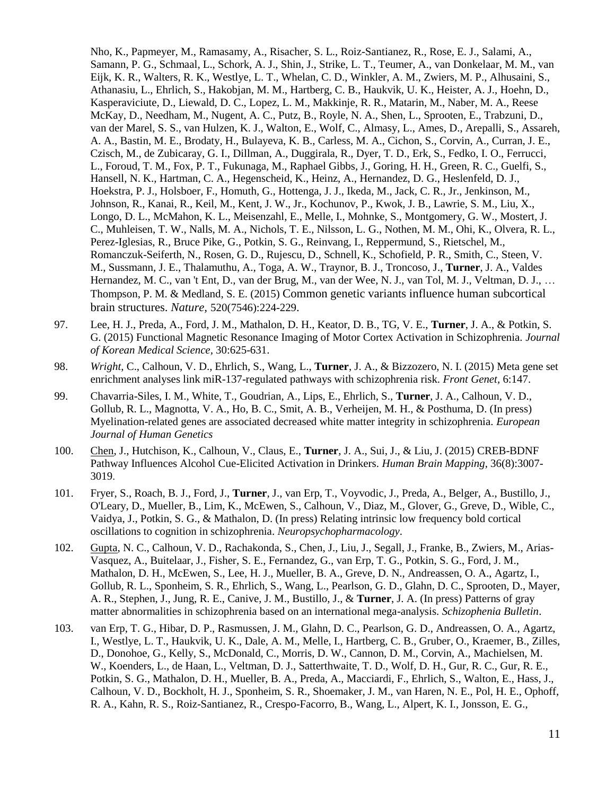Nho, K., Papmeyer, M., Ramasamy, A., Risacher, S. L., Roiz-Santianez, R., Rose, E. J., Salami, A., Samann, P. G., Schmaal, L., Schork, A. J., Shin, J., Strike, L. T., Teumer, A., van Donkelaar, M. M., van Eijk, K. R., Walters, R. K., Westlye, L. T., Whelan, C. D., Winkler, A. M., Zwiers, M. P., Alhusaini, S., Athanasiu, L., Ehrlich, S., Hakobjan, M. M., Hartberg, C. B., Haukvik, U. K., Heister, A. J., Hoehn, D., Kasperaviciute, D., Liewald, D. C., Lopez, L. M., Makkinje, R. R., Matarin, M., Naber, M. A., Reese McKay, D., Needham, M., Nugent, A. C., Putz, B., Royle, N. A., Shen, L., Sprooten, E., Trabzuni, D., van der Marel, S. S., van Hulzen, K. J., Walton, E., Wolf, C., Almasy, L., Ames, D., Arepalli, S., Assareh, A. A., Bastin, M. E., Brodaty, H., Bulayeva, K. B., Carless, M. A., Cichon, S., Corvin, A., Curran, J. E., Czisch, M., de Zubicaray, G. I., Dillman, A., Duggirala, R., Dyer, T. D., Erk, S., Fedko, I. O., Ferrucci, L., Foroud, T. M., Fox, P. T., Fukunaga, M., Raphael Gibbs, J., Goring, H. H., Green, R. C., Guelfi, S., Hansell, N. K., Hartman, C. A., Hegenscheid, K., Heinz, A., Hernandez, D. G., Heslenfeld, D. J., Hoekstra, P. J., Holsboer, F., Homuth, G., Hottenga, J. J., Ikeda, M., Jack, C. R., Jr., Jenkinson, M., Johnson, R., Kanai, R., Keil, M., Kent, J. W., Jr., Kochunov, P., Kwok, J. B., Lawrie, S. M., Liu, X., Longo, D. L., McMahon, K. L., Meisenzahl, E., Melle, I., Mohnke, S., Montgomery, G. W., Mostert, J. C., Muhleisen, T. W., Nalls, M. A., Nichols, T. E., Nilsson, L. G., Nothen, M. M., Ohi, K., Olvera, R. L., Perez-Iglesias, R., Bruce Pike, G., Potkin, S. G., Reinvang, I., Reppermund, S., Rietschel, M., Romanczuk-Seiferth, N., Rosen, G. D., Rujescu, D., Schnell, K., Schofield, P. R., Smith, C., Steen, V. M., Sussmann, J. E., Thalamuthu, A., Toga, A. W., Traynor, B. J., Troncoso, J., **Turner**, J. A., Valdes Hernandez, M. C., van 't Ent, D., van der Brug, M., van der Wee, N. J., van Tol, M. J., Veltman, D. J., … Thompson, P. M. & Medland, S. E. (2015) Common genetic variants influence human subcortical brain structures. *Nature,* 520(7546):224-229.

- 97. Lee, H. J., Preda, A., Ford, J. M., Mathalon, D. H., Keator, D. B., TG, V. E., **Turner**, J. A., & Potkin, S. G. (2015) Functional Magnetic Resonance Imaging of Motor Cortex Activation in Schizophrenia. *Journal of Korean Medical Science,* 30:625-631.
- 98. *Wright*, C., Calhoun, V. D., Ehrlich, S., Wang, L., **Turner**, J. A., & Bizzozero, N. I. (2015) Meta gene set enrichment analyses link miR-137-regulated pathways with schizophrenia risk. *Front Genet,* 6:147.
- 99. Chavarria-Siles, I. M., White, T., Goudrian, A., Lips, E., Ehrlich, S., **Turner**, J. A., Calhoun, V. D., Gollub, R. L., Magnotta, V. A., Ho, B. C., Smit, A. B., Verheijen, M. H., & Posthuma, D. (In press) Myelination-related genes are associated decreased white matter integrity in schizophrenia. *European Journal of Human Genetics*
- 100. Chen, J., Hutchison, K., Calhoun, V., Claus, E., **Turner**, J. A., Sui, J., & Liu, J. (2015) CREB-BDNF Pathway Influences Alcohol Cue-Elicited Activation in Drinkers. *Human Brain Mapping,* 36(8):3007- 3019.
- 101. Fryer, S., Roach, B. J., Ford, J., **Turner**, J., van Erp, T., Voyvodic, J., Preda, A., Belger, A., Bustillo, J., O'Leary, D., Mueller, B., Lim, K., McEwen, S., Calhoun, V., Diaz, M., Glover, G., Greve, D., Wible, C., Vaidya, J., Potkin, S. G., & Mathalon, D. (In press) Relating intrinsic low frequency bold cortical oscillations to cognition in schizophrenia. *Neuropsychopharmacology*.
- 102. Gupta, N. C., Calhoun, V. D., Rachakonda, S., Chen, J., Liu, J., Segall, J., Franke, B., Zwiers, M., Arias-Vasquez, A., Buitelaar, J., Fisher, S. E., Fernandez, G., van Erp, T. G., Potkin, S. G., Ford, J. M., Mathalon, D. H., McEwen, S., Lee, H. J., Mueller, B. A., Greve, D. N., Andreassen, O. A., Agartz, I., Gollub, R. L., Sponheim, S. R., Ehrlich, S., Wang, L., Pearlson, G. D., Glahn, D. C., Sprooten, D., Mayer, A. R., Stephen, J., Jung, R. E., Canive, J. M., Bustillo, J., & **Turner**, J. A. (In press) Patterns of gray matter abnormalities in schizophrenia based on an international mega-analysis. *Schizophenia Bulletin*.
- 103. van Erp, T. G., Hibar, D. P., Rasmussen, J. M., Glahn, D. C., Pearlson, G. D., Andreassen, O. A., Agartz, I., Westlye, L. T., Haukvik, U. K., Dale, A. M., Melle, I., Hartberg, C. B., Gruber, O., Kraemer, B., Zilles, D., Donohoe, G., Kelly, S., McDonald, C., Morris, D. W., Cannon, D. M., Corvin, A., Machielsen, M. W., Koenders, L., de Haan, L., Veltman, D. J., Satterthwaite, T. D., Wolf, D. H., Gur, R. C., Gur, R. E., Potkin, S. G., Mathalon, D. H., Mueller, B. A., Preda, A., Macciardi, F., Ehrlich, S., Walton, E., Hass, J., Calhoun, V. D., Bockholt, H. J., Sponheim, S. R., Shoemaker, J. M., van Haren, N. E., Pol, H. E., Ophoff, R. A., Kahn, R. S., Roiz-Santianez, R., Crespo-Facorro, B., Wang, L., Alpert, K. I., Jonsson, E. G.,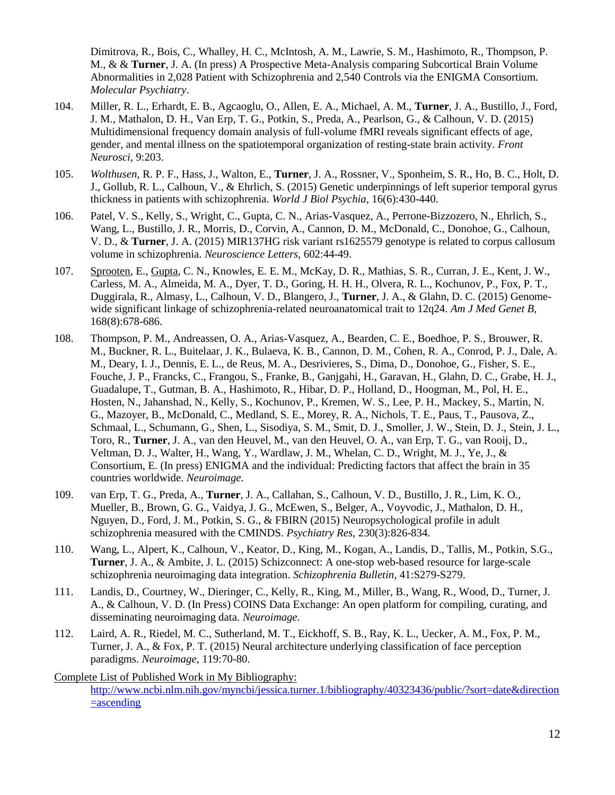Dimitrova, R., Bois, C., Whalley, H. C., McIntosh, A. M., Lawrie, S. M., Hashimoto, R., Thompson, P. M., & & **Turner**, J. A. (In press) A Prospective Meta-Analysis comparing Subcortical Brain Volume Abnormalities in 2,028 Patient with Schizophrenia and 2,540 Controls via the ENIGMA Consortium. *Molecular Psychiatry*.

- 104. Miller, R. L., Erhardt, E. B., Agcaoglu, O., Allen, E. A., Michael, A. M., **Turner**, J. A., Bustillo, J., Ford, J. M., Mathalon, D. H., Van Erp, T. G., Potkin, S., Preda, A., Pearlson, G., & Calhoun, V. D. (2015) Multidimensional frequency domain analysis of full-volume fMRI reveals significant effects of age, gender, and mental illness on the spatiotemporal organization of resting-state brain activity. *Front Neurosci,* 9:203.
- 105. *Wolthusen*, R. P. F., Hass, J., Walton, E., **Turner**, J. A., Rossner, V., Sponheim, S. R., Ho, B. C., Holt, D. J., Gollub, R. L., Calhoun, V., & Ehrlich, S. (2015) Genetic underpinnings of left superior temporal gyrus thickness in patients with schizophrenia. *World J Biol Psychia,* 16(6):430-440.
- 106. Patel, V. S., Kelly, S., Wright, C., Gupta, C. N., Arias-Vasquez, A., Perrone-Bizzozero, N., Ehrlich, S., Wang, L., Bustillo, J. R., Morris, D., Corvin, A., Cannon, D. M., McDonald, C., Donohoe, G., Calhoun, V. D., & **Turner**, J. A. (2015) MIR137HG risk variant rs1625579 genotype is related to corpus callosum volume in schizophrenia. *Neuroscience Letters,* 602:44-49.
- 107. Sprooten, E., Gupta, C. N., Knowles, E. E. M., McKay, D. R., Mathias, S. R., Curran, J. E., Kent, J. W., Carless, M. A., Almeida, M. A., Dyer, T. D., Goring, H. H. H., Olvera, R. L., Kochunov, P., Fox, P. T., Duggirala, R., Almasy, L., Calhoun, V. D., Blangero, J., **Turner**, J. A., & Glahn, D. C. (2015) Genomewide significant linkage of schizophrenia-related neuroanatomical trait to 12q24. *Am J Med Genet B,* 168(8):678-686.
- 108. Thompson, P. M., Andreassen, O. A., Arias-Vasquez, A., Bearden, C. E., Boedhoe, P. S., Brouwer, R. M., Buckner, R. L., Buitelaar, J. K., Bulaeva, K. B., Cannon, D. M., Cohen, R. A., Conrod, P. J., Dale, A. M., Deary, I. J., Dennis, E. L., de Reus, M. A., Desrivieres, S., Dima, D., Donohoe, G., Fisher, S. E., Fouche, J. P., Francks, C., Frangou, S., Franke, B., Ganjgahi, H., Garavan, H., Glahn, D. C., Grabe, H. J., Guadalupe, T., Gutman, B. A., Hashimoto, R., Hibar, D. P., Holland, D., Hoogman, M., Pol, H. E., Hosten, N., Jahanshad, N., Kelly, S., Kochunov, P., Kremen, W. S., Lee, P. H., Mackey, S., Martin, N. G., Mazoyer, B., McDonald, C., Medland, S. E., Morey, R. A., Nichols, T. E., Paus, T., Pausova, Z., Schmaal, L., Schumann, G., Shen, L., Sisodiya, S. M., Smit, D. J., Smoller, J. W., Stein, D. J., Stein, J. L., Toro, R., **Turner**, J. A., van den Heuvel, M., van den Heuvel, O. A., van Erp, T. G., van Rooij, D., Veltman, D. J., Walter, H., Wang, Y., Wardlaw, J. M., Whelan, C. D., Wright, M. J., Ye, J., & Consortium, E. (In press) ENIGMA and the individual: Predicting factors that affect the brain in 35 countries worldwide. *Neuroimage.*
- 109. van Erp, T. G., Preda, A., **Turner**, J. A., Callahan, S., Calhoun, V. D., Bustillo, J. R., Lim, K. O., Mueller, B., Brown, G. G., Vaidya, J. G., McEwen, S., Belger, A., Voyvodic, J., Mathalon, D. H., Nguyen, D., Ford, J. M., Potkin, S. G., & FBIRN (2015) Neuropsychological profile in adult schizophrenia measured with the CMINDS. *Psychiatry Res,* 230(3):826-834.
- 110. Wang, L., Alpert, K., Calhoun, V., Keator, D., King, M., Kogan, A., Landis, D., Tallis, M., Potkin, S.G., **Turner**, J. A., & Ambite, J. L. (2015) Schizconnect: A one-stop web-based resource for large-scale schizophrenia neuroimaging data integration. *Schizophrenia Bulletin*, 41:S279-S279.
- 111. Landis, D., Courtney, W., Dieringer, C., Kelly, R., King, M., Miller, B., Wang, R., Wood, D., Turner, J. A., & Calhoun, V. D. (In Press) COINS Data Exchange: An open platform for compiling, curating, and disseminating neuroimaging data. *Neuroimage.*
- 112. Laird, A. R., Riedel, M. C., Sutherland, M. T., Eickhoff, S. B., Ray, K. L., Uecker, A. M., Fox, P. M., Turner, J. A., & Fox, P. T. (2015) Neural architecture underlying classification of face perception paradigms. *Neuroimage,* 119:70-80.
- Complete List of Published Work in My Bibliography: [http://www.ncbi.nlm.nih.gov/myncbi/jessica.turner.1/bibliography/40323436/public/?sort=date&direction](http://www.ncbi.nlm.nih.gov/myncbi/jessica.turner.1/bibliography/40323436/public/?sort=date&direction=ascending)  $=$ ascending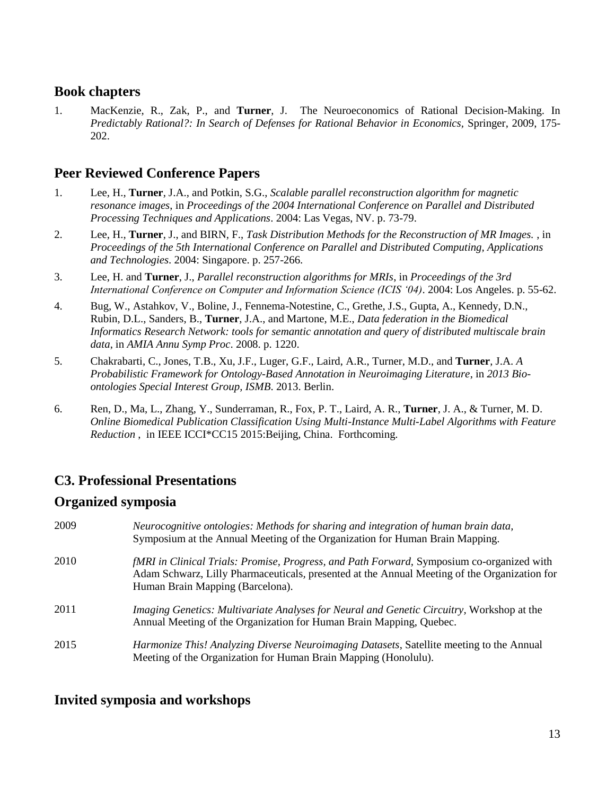#### **Book chapters**

1. MacKenzie, R., Zak, P., and **Turner**, J. The Neuroeconomics of Rational Decision-Making. In *Predictably Rational?: In Search of Defenses for Rational Behavior in Economics,* Springer, 2009, 175- 202.

## **Peer Reviewed Conference Papers**

- 1. Lee, H., **Turner**, J.A., and Potkin, S.G., *Scalable parallel reconstruction algorithm for magnetic resonance images*, in *Proceedings of the 2004 International Conference on Parallel and Distributed Processing Techniques and Applications*. 2004: Las Vegas, NV. p. 73-79.
- 2. Lee, H., **Turner**, J., and BIRN, F., *Task Distribution Methods for the Reconstruction of MR Images.* , in *Proceedings of the 5th International Conference on Parallel and Distributed Computing, Applications and Technologies*. 2004: Singapore. p. 257-266.
- 3. Lee, H. and **Turner**, J., *Parallel reconstruction algorithms for MRIs*, in *Proceedings of the 3rd International Conference on Computer and Information Science (ICIS '04)*. 2004: Los Angeles. p. 55-62.
- 4. Bug, W., Astahkov, V., Boline, J., Fennema-Notestine, C., Grethe, J.S., Gupta, A., Kennedy, D.N., Rubin, D.L., Sanders, B., **Turner**, J.A., and Martone, M.E., *Data federation in the Biomedical Informatics Research Network: tools for semantic annotation and query of distributed multiscale brain data*, in *AMIA Annu Symp Proc*. 2008. p. 1220.
- 5. Chakrabarti, C., Jones, T.B., Xu, J.F., Luger, G.F., Laird, A.R., Turner, M.D., and **Turner**, J.A. *A Probabilistic Framework for Ontology-Based Annotation in Neuroimaging Literature*, in *2013 Bioontologies Special Interest Group, ISMB*. 2013. Berlin.
- 6. Ren, D., Ma, L., Zhang, Y., Sunderraman, R., Fox, P. T., Laird, A. R., **Turner**, J. A., & Turner, M. D. *Online Biomedical Publication Classification Using Multi-Instance Multi-Label Algorithms with Feature Reduction* , in IEEE ICCI\*CC15 2015:Beijing, China. Forthcoming.

## **C3. Professional Presentations**

#### **Organized symposia**

| 2009 | Neurocognitive ontologies: Methods for sharing and integration of human brain data,<br>Symposium at the Annual Meeting of the Organization for Human Brain Mapping.                                                           |
|------|-------------------------------------------------------------------------------------------------------------------------------------------------------------------------------------------------------------------------------|
| 2010 | fMRI in Clinical Trials: Promise, Progress, and Path Forward, Symposium co-organized with<br>Adam Schwarz, Lilly Pharmaceuticals, presented at the Annual Meeting of the Organization for<br>Human Brain Mapping (Barcelona). |
| 2011 | <i>Imaging Genetics: Multivariate Analyses for Neural and Genetic Circuitry, Workshop at the</i><br>Annual Meeting of the Organization for Human Brain Mapping, Quebec.                                                       |
| 2015 | Harmonize This! Analyzing Diverse Neuroimaging Datasets, Satellite meeting to the Annual<br>Meeting of the Organization for Human Brain Mapping (Honolulu).                                                                   |

### **Invited symposia and workshops**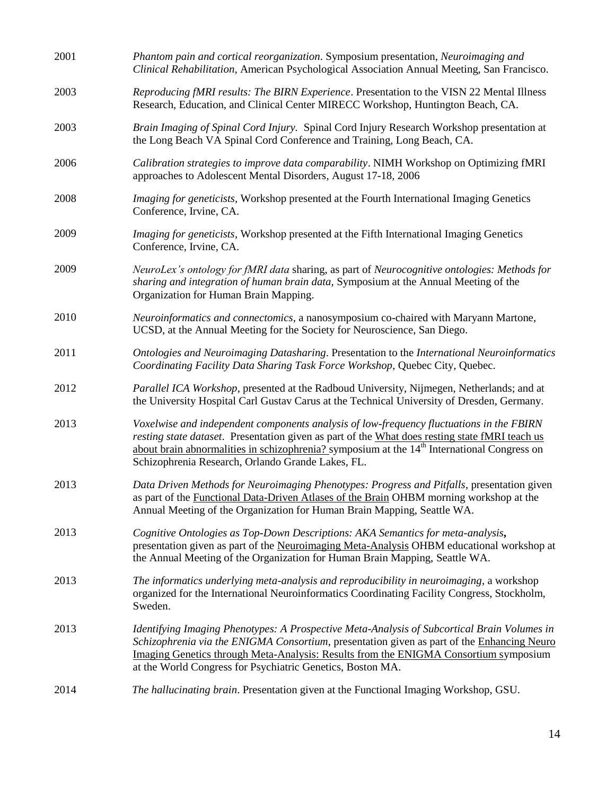| 2001 | Phantom pain and cortical reorganization. Symposium presentation, Neuroimaging and<br>Clinical Rehabilitation, American Psychological Association Annual Meeting, San Francisco.                                                                                                                                                                           |
|------|------------------------------------------------------------------------------------------------------------------------------------------------------------------------------------------------------------------------------------------------------------------------------------------------------------------------------------------------------------|
| 2003 | Reproducing fMRI results: The BIRN Experience. Presentation to the VISN 22 Mental Illness<br>Research, Education, and Clinical Center MIRECC Workshop, Huntington Beach, CA.                                                                                                                                                                               |
| 2003 | Brain Imaging of Spinal Cord Injury. Spinal Cord Injury Research Workshop presentation at<br>the Long Beach VA Spinal Cord Conference and Training, Long Beach, CA.                                                                                                                                                                                        |
| 2006 | Calibration strategies to improve data comparability. NIMH Workshop on Optimizing fMRI<br>approaches to Adolescent Mental Disorders, August 17-18, 2006                                                                                                                                                                                                    |
| 2008 | <i>Imaging for geneticists</i> , Workshop presented at the Fourth International Imaging Genetics<br>Conference, Irvine, CA.                                                                                                                                                                                                                                |
| 2009 | <i>Imaging for geneticists</i> , Workshop presented at the Fifth International Imaging Genetics<br>Conference, Irvine, CA.                                                                                                                                                                                                                                 |
| 2009 | NeuroLex's ontology for fMRI data sharing, as part of Neurocognitive ontologies: Methods for<br>sharing and integration of human brain data, Symposium at the Annual Meeting of the<br>Organization for Human Brain Mapping.                                                                                                                               |
| 2010 | Neuroinformatics and connectomics, a nanosymposium co-chaired with Maryann Martone,<br>UCSD, at the Annual Meeting for the Society for Neuroscience, San Diego.                                                                                                                                                                                            |
| 2011 | Ontologies and Neuroimaging Datasharing. Presentation to the International Neuroinformatics<br>Coordinating Facility Data Sharing Task Force Workshop, Quebec City, Quebec.                                                                                                                                                                                |
| 2012 | Parallel ICA Workshop, presented at the Radboud University, Nijmegen, Netherlands; and at<br>the University Hospital Carl Gustav Carus at the Technical University of Dresden, Germany.                                                                                                                                                                    |
| 2013 | Voxelwise and independent components analysis of low-frequency fluctuations in the FBIRN<br>resting state dataset. Presentation given as part of the What does resting state fMRI teach us<br>about brain abnormalities in schizophrenia? symposium at the 14 <sup>th</sup> International Congress on<br>Schizophrenia Research, Orlando Grande Lakes, FL. |
| 2013 | Data Driven Methods for Neuroimaging Phenotypes: Progress and Pitfalls, presentation given<br>as part of the Functional Data-Driven Atlases of the Brain OHBM morning workshop at the<br>Annual Meeting of the Organization for Human Brain Mapping, Seattle WA.                                                                                           |
| 2013 | Cognitive Ontologies as Top-Down Descriptions: AKA Semantics for meta-analysis,<br>presentation given as part of the Neuroimaging Meta-Analysis OHBM educational workshop at<br>the Annual Meeting of the Organization for Human Brain Mapping, Seattle WA.                                                                                                |
| 2013 | The informatics underlying meta-analysis and reproducibility in neuroimaging, a workshop<br>organized for the International Neuroinformatics Coordinating Facility Congress, Stockholm,<br>Sweden.                                                                                                                                                         |
| 2013 | Identifying Imaging Phenotypes: A Prospective Meta-Analysis of Subcortical Brain Volumes in<br>Schizophrenia via the ENIGMA Consortium, presentation given as part of the Enhancing Neuro<br>Imaging Genetics through Meta-Analysis: Results from the ENIGMA Consortium symposium<br>at the World Congress for Psychiatric Genetics, Boston MA.            |
| 2014 | The hallucinating brain. Presentation given at the Functional Imaging Workshop, GSU.                                                                                                                                                                                                                                                                       |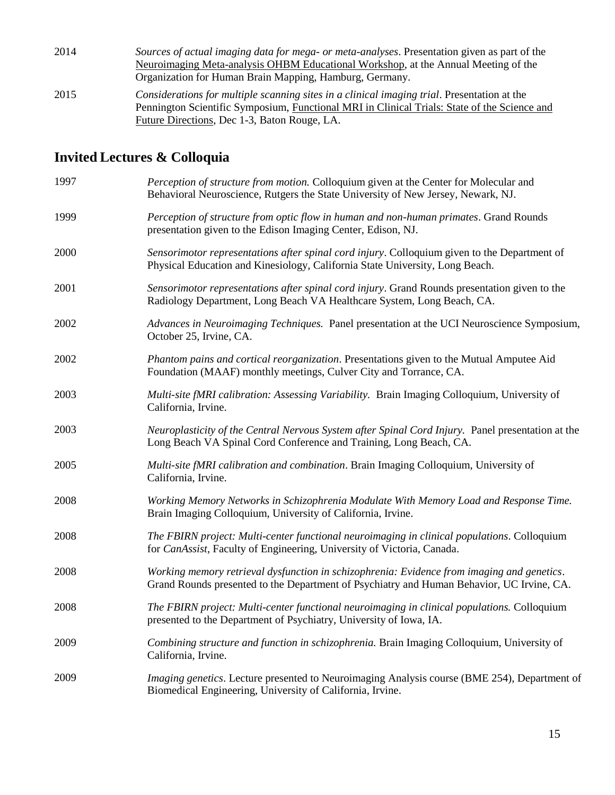| 2014 | Sources of actual imaging data for mega- or meta-analyses. Presentation given as part of the |
|------|----------------------------------------------------------------------------------------------|
|      | Neuroimaging Meta-analysis OHBM Educational Workshop, at the Annual Meeting of the           |
|      | Organization for Human Brain Mapping, Hamburg, Germany.                                      |
| 2015 | Considerations for multiple scanning sites in a clinical imaging trial. Presentation at the  |
|      | Pennington Scientific Symposium, Functional MRI in Clinical Trials: State of the Science and |
|      | Future Directions, Dec 1-3, Baton Rouge, LA.                                                 |

# **Invited Lectures & Colloquia**

| 1997 | Perception of structure from motion. Colloquium given at the Center for Molecular and<br>Behavioral Neuroscience, Rutgers the State University of New Jersey, Newark, NJ.               |
|------|-----------------------------------------------------------------------------------------------------------------------------------------------------------------------------------------|
| 1999 | Perception of structure from optic flow in human and non-human primates. Grand Rounds<br>presentation given to the Edison Imaging Center, Edison, NJ.                                   |
| 2000 | Sensorimotor representations after spinal cord injury. Colloquium given to the Department of<br>Physical Education and Kinesiology, California State University, Long Beach.            |
| 2001 | Sensorimotor representations after spinal cord injury. Grand Rounds presentation given to the<br>Radiology Department, Long Beach VA Healthcare System, Long Beach, CA.                 |
| 2002 | Advances in Neuroimaging Techniques. Panel presentation at the UCI Neuroscience Symposium,<br>October 25, Irvine, CA.                                                                   |
| 2002 | Phantom pains and cortical reorganization. Presentations given to the Mutual Amputee Aid<br>Foundation (MAAF) monthly meetings, Culver City and Torrance, CA.                           |
| 2003 | Multi-site fMRI calibration: Assessing Variability. Brain Imaging Colloquium, University of<br>California, Irvine.                                                                      |
| 2003 | Neuroplasticity of the Central Nervous System after Spinal Cord Injury. Panel presentation at the<br>Long Beach VA Spinal Cord Conference and Training, Long Beach, CA.                 |
| 2005 | Multi-site fMRI calibration and combination. Brain Imaging Colloquium, University of<br>California, Irvine.                                                                             |
| 2008 | Working Memory Networks in Schizophrenia Modulate With Memory Load and Response Time.<br>Brain Imaging Colloquium, University of California, Irvine.                                    |
| 2008 | The FBIRN project: Multi-center functional neuroimaging in clinical populations. Colloquium<br>for CanAssist, Faculty of Engineering, University of Victoria, Canada.                   |
| 2008 | Working memory retrieval dysfunction in schizophrenia: Evidence from imaging and genetics.<br>Grand Rounds presented to the Department of Psychiatry and Human Behavior, UC Irvine, CA. |
| 2008 | The FBIRN project: Multi-center functional neuroimaging in clinical populations. Colloquium<br>presented to the Department of Psychiatry, University of Iowa, IA.                       |
| 2009 | Combining structure and function in schizophrenia. Brain Imaging Colloquium, University of<br>California, Irvine.                                                                       |
| 2009 | <i>Imaging genetics.</i> Lecture presented to Neuroimaging Analysis course (BME 254), Department of<br>Biomedical Engineering, University of California, Irvine.                        |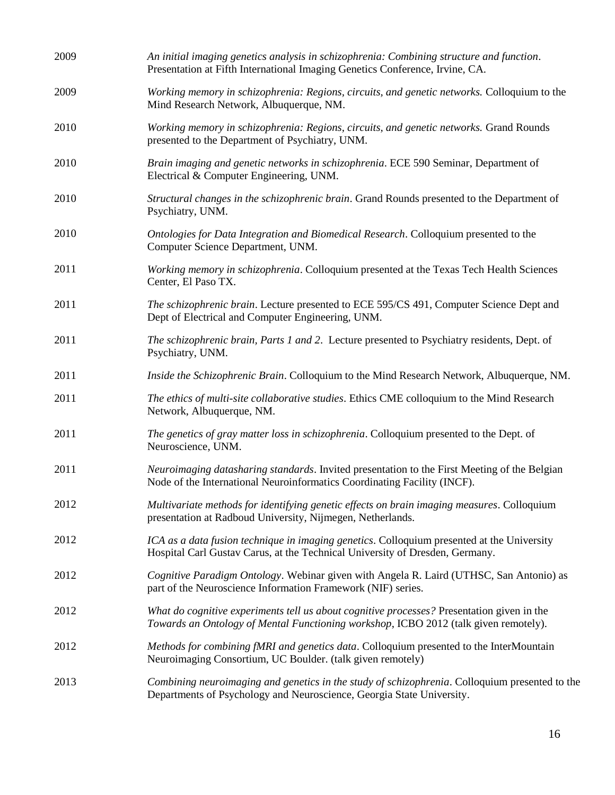| 2009 | An initial imaging genetics analysis in schizophrenia: Combining structure and function.<br>Presentation at Fifth International Imaging Genetics Conference, Irvine, CA.           |
|------|------------------------------------------------------------------------------------------------------------------------------------------------------------------------------------|
| 2009 | Working memory in schizophrenia: Regions, circuits, and genetic networks. Colloquium to the<br>Mind Research Network, Albuquerque, NM.                                             |
| 2010 | Working memory in schizophrenia: Regions, circuits, and genetic networks. Grand Rounds<br>presented to the Department of Psychiatry, UNM.                                          |
| 2010 | Brain imaging and genetic networks in schizophrenia. ECE 590 Seminar, Department of<br>Electrical & Computer Engineering, UNM.                                                     |
| 2010 | Structural changes in the schizophrenic brain. Grand Rounds presented to the Department of<br>Psychiatry, UNM.                                                                     |
| 2010 | Ontologies for Data Integration and Biomedical Research. Colloquium presented to the<br>Computer Science Department, UNM.                                                          |
| 2011 | Working memory in schizophrenia. Colloquium presented at the Texas Tech Health Sciences<br>Center, El Paso TX.                                                                     |
| 2011 | The schizophrenic brain. Lecture presented to ECE 595/CS 491, Computer Science Dept and<br>Dept of Electrical and Computer Engineering, UNM.                                       |
| 2011 | The schizophrenic brain, Parts 1 and 2. Lecture presented to Psychiatry residents, Dept. of<br>Psychiatry, UNM.                                                                    |
| 2011 | Inside the Schizophrenic Brain. Colloquium to the Mind Research Network, Albuquerque, NM.                                                                                          |
| 2011 | The ethics of multi-site collaborative studies. Ethics CME colloquium to the Mind Research<br>Network, Albuquerque, NM.                                                            |
| 2011 | The genetics of gray matter loss in schizophrenia. Colloquium presented to the Dept. of<br>Neuroscience, UNM.                                                                      |
| 2011 | Neuroimaging datasharing standards. Invited presentation to the First Meeting of the Belgian<br>Node of the International Neuroinformatics Coordinating Facility (INCF).           |
| 2012 | Multivariate methods for identifying genetic effects on brain imaging measures. Colloquium<br>presentation at Radboud University, Nijmegen, Netherlands.                           |
| 2012 | ICA as a data fusion technique in imaging genetics. Colloquium presented at the University<br>Hospital Carl Gustav Carus, at the Technical University of Dresden, Germany.         |
| 2012 | Cognitive Paradigm Ontology. Webinar given with Angela R. Laird (UTHSC, San Antonio) as<br>part of the Neuroscience Information Framework (NIF) series.                            |
| 2012 | What do cognitive experiments tell us about cognitive processes? Presentation given in the<br>Towards an Ontology of Mental Functioning workshop, ICBO 2012 (talk given remotely). |
| 2012 | Methods for combining fMRI and genetics data. Colloquium presented to the InterMountain<br>Neuroimaging Consortium, UC Boulder. (talk given remotely)                              |
| 2013 | Combining neuroimaging and genetics in the study of schizophrenia. Colloquium presented to the<br>Departments of Psychology and Neuroscience, Georgia State University.            |
|      |                                                                                                                                                                                    |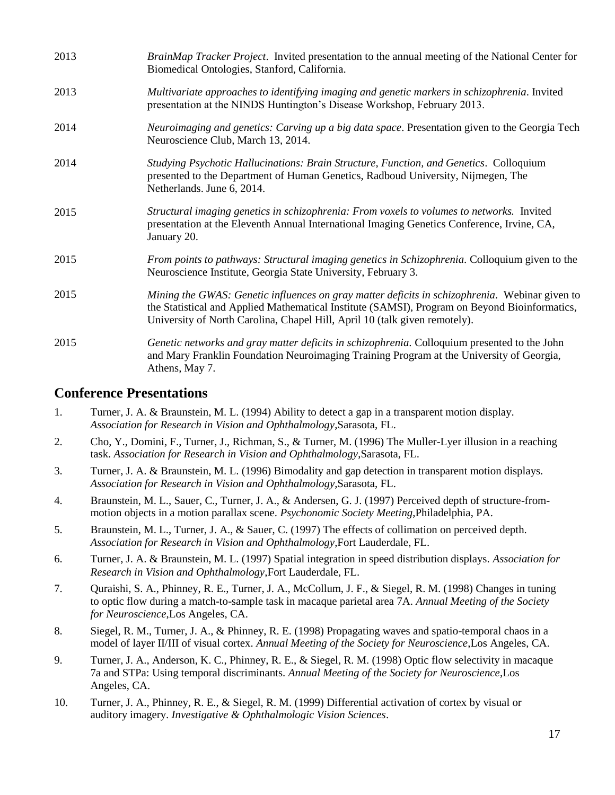| 2013 | BrainMap Tracker Project. Invited presentation to the annual meeting of the National Center for<br>Biomedical Ontologies, Stanford, California.                                                                                                                               |
|------|-------------------------------------------------------------------------------------------------------------------------------------------------------------------------------------------------------------------------------------------------------------------------------|
| 2013 | Multivariate approaches to identifying imaging and genetic markers in schizophrenia. Invited<br>presentation at the NINDS Huntington's Disease Workshop, February 2013.                                                                                                       |
| 2014 | Neuroimaging and genetics: Carving up a big data space. Presentation given to the Georgia Tech<br>Neuroscience Club, March 13, 2014.                                                                                                                                          |
| 2014 | Studying Psychotic Hallucinations: Brain Structure, Function, and Genetics. Colloquium<br>presented to the Department of Human Genetics, Radboud University, Nijmegen, The<br>Netherlands. June 6, 2014.                                                                      |
| 2015 | Structural imaging genetics in schizophrenia: From voxels to volumes to networks. Invited<br>presentation at the Eleventh Annual International Imaging Genetics Conference, Irvine, CA,<br>January 20.                                                                        |
| 2015 | From points to pathways: Structural imaging genetics in Schizophrenia. Colloquium given to the<br>Neuroscience Institute, Georgia State University, February 3.                                                                                                               |
| 2015 | Mining the GWAS: Genetic influences on gray matter deficits in schizophrenia. Webinar given to<br>the Statistical and Applied Mathematical Institute (SAMSI), Program on Beyond Bioinformatics,<br>University of North Carolina, Chapel Hill, April 10 (talk given remotely). |
| 2015 | Genetic networks and gray matter deficits in schizophrenia. Colloquium presented to the John<br>and Mary Franklin Foundation Neuroimaging Training Program at the University of Georgia,<br>Athens, May 7.                                                                    |

#### **Conference Presentations**

- 1. Turner, J. A. & Braunstein, M. L. (1994) Ability to detect a gap in a transparent motion display. *Association for Research in Vision and Ophthalmology*,Sarasota, FL.
- 2. Cho, Y., Domini, F., Turner, J., Richman, S., & Turner, M. (1996) The Muller-Lyer illusion in a reaching task. *Association for Research in Vision and Ophthalmology*,Sarasota, FL.
- 3. Turner, J. A. & Braunstein, M. L. (1996) Bimodality and gap detection in transparent motion displays. *Association for Research in Vision and Ophthalmology*,Sarasota, FL.
- 4. Braunstein, M. L., Sauer, C., Turner, J. A., & Andersen, G. J. (1997) Perceived depth of structure-frommotion objects in a motion parallax scene. *Psychonomic Society Meeting*,Philadelphia, PA.
- 5. Braunstein, M. L., Turner, J. A., & Sauer, C. (1997) The effects of collimation on perceived depth. *Association for Research in Vision and Ophthalmology*,Fort Lauderdale, FL.
- 6. Turner, J. A. & Braunstein, M. L. (1997) Spatial integration in speed distribution displays. *Association for Research in Vision and Ophthalmology*,Fort Lauderdale, FL.
- 7. Quraishi, S. A., Phinney, R. E., Turner, J. A., McCollum, J. F., & Siegel, R. M. (1998) Changes in tuning to optic flow during a match-to-sample task in macaque parietal area 7A. *Annual Meeting of the Society for Neuroscience*,Los Angeles, CA.
- 8. Siegel, R. M., Turner, J. A., & Phinney, R. E. (1998) Propagating waves and spatio-temporal chaos in a model of layer II/III of visual cortex. *Annual Meeting of the Society for Neuroscience*,Los Angeles, CA.
- 9. Turner, J. A., Anderson, K. C., Phinney, R. E., & Siegel, R. M. (1998) Optic flow selectivity in macaque 7a and STPa: Using temporal discriminants. *Annual Meeting of the Society for Neuroscience*,Los Angeles, CA.
- 10. Turner, J. A., Phinney, R. E., & Siegel, R. M. (1999) Differential activation of cortex by visual or auditory imagery. *Investigative & Ophthalmologic Vision Sciences*.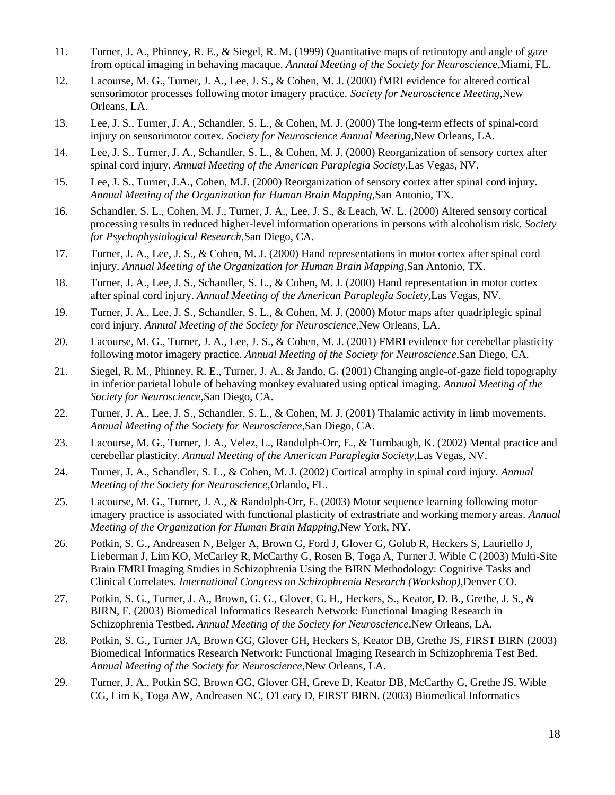- 11. Turner, J. A., Phinney, R. E., & Siegel, R. M. (1999) Quantitative maps of retinotopy and angle of gaze from optical imaging in behaving macaque. *Annual Meeting of the Society for Neuroscience*,Miami, FL.
- 12. Lacourse, M. G., Turner, J. A., Lee, J. S., & Cohen, M. J. (2000) fMRI evidence for altered cortical sensorimotor processes following motor imagery practice. *Society for Neuroscience Meeting*,New Orleans, LA.
- 13. Lee, J. S., Turner, J. A., Schandler, S. L., & Cohen, M. J. (2000) The long-term effects of spinal-cord injury on sensorimotor cortex. *Society for Neuroscience Annual Meeting*,New Orleans, LA.
- 14. Lee, J. S., Turner, J. A., Schandler, S. L., & Cohen, M. J. (2000) Reorganization of sensory cortex after spinal cord injury. *Annual Meeting of the American Paraplegia Society*,Las Vegas, NV.
- 15. Lee, J. S., Turner, J.A., Cohen, M.J. (2000) Reorganization of sensory cortex after spinal cord injury. *Annual Meeting of the Organization for Human Brain Mapping*,San Antonio, TX.
- 16. Schandler, S. L., Cohen, M. J., Turner, J. A., Lee, J. S., & Leach, W. L. (2000) Altered sensory cortical processing results in reduced higher-level information operations in persons with alcoholism risk. *Society for Psychophysiological Research*,San Diego, CA.
- 17. Turner, J. A., Lee, J. S., & Cohen, M. J. (2000) Hand representations in motor cortex after spinal cord injury. *Annual Meeting of the Organization for Human Brain Mapping*,San Antonio, TX.
- 18. Turner, J. A., Lee, J. S., Schandler, S. L., & Cohen, M. J. (2000) Hand representation in motor cortex after spinal cord injury. *Annual Meeting of the American Paraplegia Society*,Las Vegas, NV.
- 19. Turner, J. A., Lee, J. S., Schandler, S. L., & Cohen, M. J. (2000) Motor maps after quadriplegic spinal cord injury. *Annual Meeting of the Society for Neuroscience*,New Orleans, LA.
- 20. Lacourse, M. G., Turner, J. A., Lee, J. S., & Cohen, M. J. (2001) FMRI evidence for cerebellar plasticity following motor imagery practice. *Annual Meeting of the Society for Neuroscience*,San Diego, CA.
- 21. Siegel, R. M., Phinney, R. E., Turner, J. A., & Jando, G. (2001) Changing angle-of-gaze field topography in inferior parietal lobule of behaving monkey evaluated using optical imaging. *Annual Meeting of the Society for Neuroscience*,San Diego, CA.
- 22. Turner, J. A., Lee, J. S., Schandler, S. L., & Cohen, M. J. (2001) Thalamic activity in limb movements. *Annual Meeting of the Society for Neuroscience*,San Diego, CA.
- 23. Lacourse, M. G., Turner, J. A., Velez, L., Randolph-Orr, E., & Turnbaugh, K. (2002) Mental practice and cerebellar plasticity. *Annual Meeting of the American Paraplegia Society*,Las Vegas, NV.
- 24. Turner, J. A., Schandler, S. L., & Cohen, M. J. (2002) Cortical atrophy in spinal cord injury. *Annual Meeting of the Society for Neuroscience*,Orlando, FL.
- 25. Lacourse, M. G., Turner, J. A., & Randolph-Orr, E. (2003) Motor sequence learning following motor imagery practice is associated with functional plasticity of extrastriate and working memory areas. *Annual Meeting of the Organization for Human Brain Mapping*,New York, NY.
- 26. Potkin, S. G., Andreasen N, Belger A, Brown G, Ford J, Glover G, Golub R, Heckers S, Lauriello J, Lieberman J, Lim KO, McCarley R, McCarthy G, Rosen B, Toga A, Turner J, Wible C (2003) Multi-Site Brain FMRI Imaging Studies in Schizophrenia Using the BIRN Methodology: Cognitive Tasks and Clinical Correlates. *International Congress on Schizophrenia Research (Workshop)*,Denver CO.
- 27. Potkin, S. G., Turner, J. A., Brown, G. G., Glover, G. H., Heckers, S., Keator, D. B., Grethe, J. S., & BIRN, F. (2003) Biomedical Informatics Research Network: Functional Imaging Research in Schizophrenia Testbed. *Annual Meeting of the Society for Neuroscience*,New Orleans, LA.
- 28. Potkin, S. G., Turner JA, Brown GG, Glover GH, Heckers S, Keator DB, Grethe JS, FIRST BIRN (2003) Biomedical Informatics Research Network: Functional Imaging Research in Schizophrenia Test Bed. *Annual Meeting of the Society for Neuroscience*,New Orleans, LA.
- 29. Turner, J. A., Potkin SG, Brown GG, Glover GH, Greve D, Keator DB, McCarthy G, Grethe JS, Wible CG, Lim K, Toga AW, Andreasen NC, O'Leary D, FIRST BIRN. (2003) Biomedical Informatics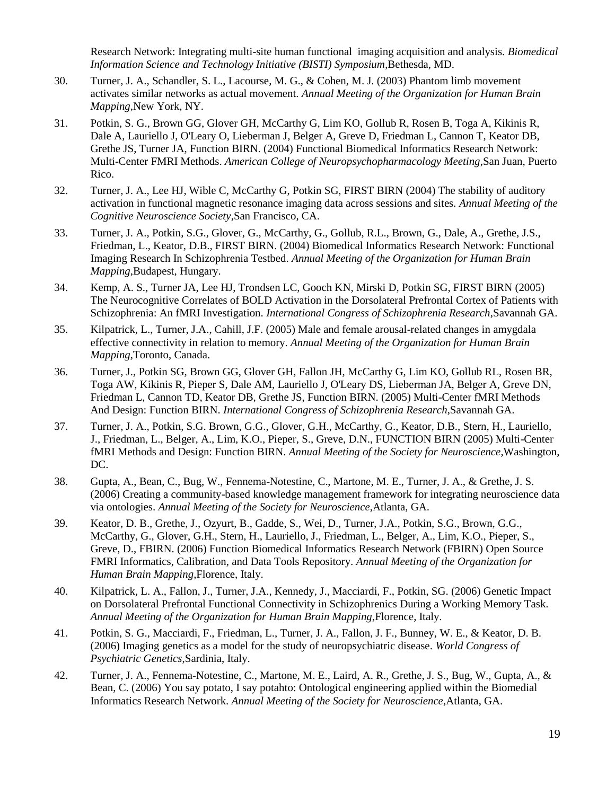Research Network: Integrating multi-site human functional imaging acquisition and analysis. *Biomedical Information Science and Technology Initiative (BISTI) Symposium*,Bethesda, MD.

- 30. Turner, J. A., Schandler, S. L., Lacourse, M. G., & Cohen, M. J. (2003) Phantom limb movement activates similar networks as actual movement. *Annual Meeting of the Organization for Human Brain Mapping*,New York, NY.
- 31. Potkin, S. G., Brown GG, Glover GH, McCarthy G, Lim KO, Gollub R, Rosen B, Toga A, Kikinis R, Dale A, Lauriello J, O'Leary O, Lieberman J, Belger A, Greve D, Friedman L, Cannon T, Keator DB, Grethe JS, Turner JA, Function BIRN. (2004) Functional Biomedical Informatics Research Network: Multi-Center FMRI Methods. *American College of Neuropsychopharmacology Meeting*,San Juan, Puerto Rico.
- 32. Turner, J. A., Lee HJ, Wible C, McCarthy G, Potkin SG, FIRST BIRN (2004) The stability of auditory activation in functional magnetic resonance imaging data across sessions and sites. *Annual Meeting of the Cognitive Neuroscience Society*,San Francisco, CA.
- 33. Turner, J. A., Potkin, S.G., Glover, G., McCarthy, G., Gollub, R.L., Brown, G., Dale, A., Grethe, J.S., Friedman, L., Keator, D.B., FIRST BIRN. (2004) Biomedical Informatics Research Network: Functional Imaging Research In Schizophrenia Testbed. *Annual Meeting of the Organization for Human Brain Mapping*,Budapest, Hungary.
- 34. Kemp, A. S., Turner JA, Lee HJ, Trondsen LC, Gooch KN, Mirski D, Potkin SG, FIRST BIRN (2005) The Neurocognitive Correlates of BOLD Activation in the Dorsolateral Prefrontal Cortex of Patients with Schizophrenia: An fMRI Investigation. *International Congress of Schizophrenia Research*,Savannah GA.
- 35. Kilpatrick, L., Turner, J.A., Cahill, J.F. (2005) Male and female arousal-related changes in amygdala effective connectivity in relation to memory. *Annual Meeting of the Organization for Human Brain Mapping*,Toronto, Canada.
- 36. Turner, J., Potkin SG, Brown GG, Glover GH, Fallon JH, McCarthy G, Lim KO, Gollub RL, Rosen BR, Toga AW, Kikinis R, Pieper S, Dale AM, Lauriello J, O'Leary DS, Lieberman JA, Belger A, Greve DN, Friedman L, Cannon TD, Keator DB, Grethe JS, Function BIRN. (2005) Multi-Center fMRI Methods And Design: Function BIRN. *International Congress of Schizophrenia Research*,Savannah GA.
- 37. Turner, J. A., Potkin, S.G. Brown, G.G., Glover, G.H., McCarthy, G., Keator, D.B., Stern, H., Lauriello, J., Friedman, L., Belger, A., Lim, K.O., Pieper, S., Greve, D.N., FUNCTION BIRN (2005) Multi-Center fMRI Methods and Design: Function BIRN. *Annual Meeting of the Society for Neuroscience*,Washington, DC.
- 38. Gupta, A., Bean, C., Bug, W., Fennema-Notestine, C., Martone, M. E., Turner, J. A., & Grethe, J. S. (2006) Creating a community-based knowledge management framework for integrating neuroscience data via ontologies. *Annual Meeting of the Society for Neuroscience*,Atlanta, GA.
- 39. Keator, D. B., Grethe, J., Ozyurt, B., Gadde, S., Wei, D., Turner, J.A., Potkin, S.G., Brown, G.G., McCarthy, G., Glover, G.H., Stern, H., Lauriello, J., Friedman, L., Belger, A., Lim, K.O., Pieper, S., Greve, D., FBIRN. (2006) Function Biomedical Informatics Research Network (FBIRN) Open Source FMRI Informatics, Calibration, and Data Tools Repository. *Annual Meeting of the Organization for Human Brain Mapping*,Florence, Italy.
- 40. Kilpatrick, L. A., Fallon, J., Turner, J.A., Kennedy, J., Macciardi, F., Potkin, SG. (2006) Genetic Impact on Dorsolateral Prefrontal Functional Connectivity in Schizophrenics During a Working Memory Task. *Annual Meeting of the Organization for Human Brain Mapping*,Florence, Italy.
- 41. Potkin, S. G., Macciardi, F., Friedman, L., Turner, J. A., Fallon, J. F., Bunney, W. E., & Keator, D. B. (2006) Imaging genetics as a model for the study of neuropsychiatric disease. *World Congress of Psychiatric Genetics*,Sardinia, Italy.
- 42. Turner, J. A., Fennema-Notestine, C., Martone, M. E., Laird, A. R., Grethe, J. S., Bug, W., Gupta, A., & Bean, C. (2006) You say potato, I say potahto: Ontological engineering applied within the Biomedial Informatics Research Network. *Annual Meeting of the Society for Neuroscience*,Atlanta, GA.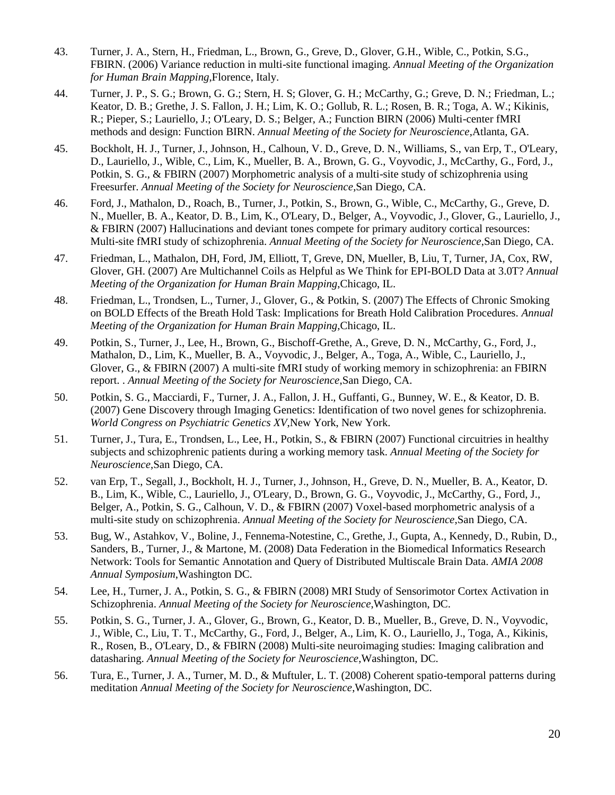- 43. Turner, J. A., Stern, H., Friedman, L., Brown, G., Greve, D., Glover, G.H., Wible, C., Potkin, S.G., FBIRN. (2006) Variance reduction in multi-site functional imaging. *Annual Meeting of the Organization for Human Brain Mapping*,Florence, Italy.
- 44. Turner, J. P., S. G.; Brown, G. G.; Stern, H. S; Glover, G. H.; McCarthy, G.; Greve, D. N.; Friedman, L.; Keator, D. B.; Grethe, J. S. Fallon, J. H.; Lim, K. O.; Gollub, R. L.; Rosen, B. R.; Toga, A. W.; Kikinis, R.; Pieper, S.; Lauriello, J.; O'Leary, D. S.; Belger, A.; Function BIRN (2006) Multi-center fMRI methods and design: Function BIRN. *Annual Meeting of the Society for Neuroscience*,Atlanta, GA.
- 45. Bockholt, H. J., Turner, J., Johnson, H., Calhoun, V. D., Greve, D. N., Williams, S., van Erp, T., O'Leary, D., Lauriello, J., Wible, C., Lim, K., Mueller, B. A., Brown, G. G., Voyvodic, J., McCarthy, G., Ford, J., Potkin, S. G., & FBIRN (2007) Morphometric analysis of a multi-site study of schizophrenia using Freesurfer. *Annual Meeting of the Society for Neuroscience*,San Diego, CA.
- 46. Ford, J., Mathalon, D., Roach, B., Turner, J., Potkin, S., Brown, G., Wible, C., McCarthy, G., Greve, D. N., Mueller, B. A., Keator, D. B., Lim, K., O'Leary, D., Belger, A., Voyvodic, J., Glover, G., Lauriello, J., & FBIRN (2007) Hallucinations and deviant tones compete for primary auditory cortical resources: Multi-site fMRI study of schizophrenia. *Annual Meeting of the Society for Neuroscience*,San Diego, CA.
- 47. Friedman, L., Mathalon, DH, Ford, JM, Elliott, T, Greve, DN, Mueller, B, Liu, T, Turner, JA, Cox, RW, Glover, GH. (2007) Are Multichannel Coils as Helpful as We Think for EPI-BOLD Data at 3.0T? *Annual Meeting of the Organization for Human Brain Mapping*,Chicago, IL.
- 48. Friedman, L., Trondsen, L., Turner, J., Glover, G., & Potkin, S. (2007) The Effects of Chronic Smoking on BOLD Effects of the Breath Hold Task: Implications for Breath Hold Calibration Procedures. *Annual Meeting of the Organization for Human Brain Mapping*,Chicago, IL.
- 49. Potkin, S., Turner, J., Lee, H., Brown, G., Bischoff-Grethe, A., Greve, D. N., McCarthy, G., Ford, J., Mathalon, D., Lim, K., Mueller, B. A., Voyvodic, J., Belger, A., Toga, A., Wible, C., Lauriello, J., Glover, G., & FBIRN (2007) A multi-site fMRI study of working memory in schizophrenia: an FBIRN report. . *Annual Meeting of the Society for Neuroscience*,San Diego, CA.
- 50. Potkin, S. G., Macciardi, F., Turner, J. A., Fallon, J. H., Guffanti, G., Bunney, W. E., & Keator, D. B. (2007) Gene Discovery through Imaging Genetics: Identification of two novel genes for schizophrenia. *World Congress on Psychiatric Genetics XV*,New York, New York.
- 51. Turner, J., Tura, E., Trondsen, L., Lee, H., Potkin, S., & FBIRN (2007) Functional circuitries in healthy subjects and schizophrenic patients during a working memory task. *Annual Meeting of the Society for Neuroscience*,San Diego, CA.
- 52. van Erp, T., Segall, J., Bockholt, H. J., Turner, J., Johnson, H., Greve, D. N., Mueller, B. A., Keator, D. B., Lim, K., Wible, C., Lauriello, J., O'Leary, D., Brown, G. G., Voyvodic, J., McCarthy, G., Ford, J., Belger, A., Potkin, S. G., Calhoun, V. D., & FBIRN (2007) Voxel-based morphometric analysis of a multi-site study on schizophrenia. *Annual Meeting of the Society for Neuroscience*,San Diego, CA.
- 53. Bug, W., Astahkov, V., Boline, J., Fennema-Notestine, C., Grethe, J., Gupta, A., Kennedy, D., Rubin, D., Sanders, B., Turner, J., & Martone, M. (2008) Data Federation in the Biomedical Informatics Research Network: Tools for Semantic Annotation and Query of Distributed Multiscale Brain Data. *AMIA 2008 Annual Symposium*,Washington DC.
- 54. Lee, H., Turner, J. A., Potkin, S. G., & FBIRN (2008) MRI Study of Sensorimotor Cortex Activation in Schizophrenia. *Annual Meeting of the Society for Neuroscience*,Washington, DC.
- 55. Potkin, S. G., Turner, J. A., Glover, G., Brown, G., Keator, D. B., Mueller, B., Greve, D. N., Voyvodic, J., Wible, C., Liu, T. T., McCarthy, G., Ford, J., Belger, A., Lim, K. O., Lauriello, J., Toga, A., Kikinis, R., Rosen, B., O'Leary, D., & FBIRN (2008) Multi-site neuroimaging studies: Imaging calibration and datasharing. *Annual Meeting of the Society for Neuroscience*,Washington, DC.
- 56. Tura, E., Turner, J. A., Turner, M. D., & Muftuler, L. T. (2008) Coherent spatio-temporal patterns during meditation *Annual Meeting of the Society for Neuroscience*,Washington, DC.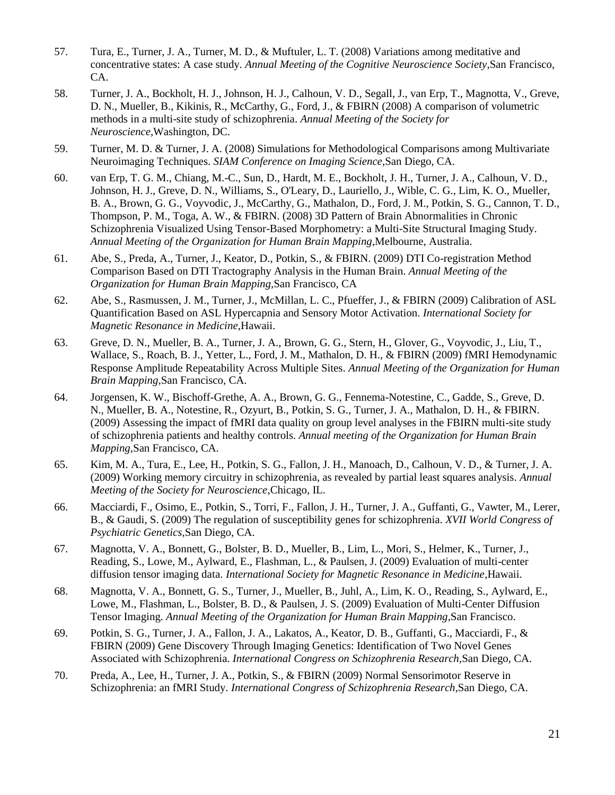- 57. Tura, E., Turner, J. A., Turner, M. D., & Muftuler, L. T. (2008) Variations among meditative and concentrative states: A case study. *Annual Meeting of the Cognitive Neuroscience Society*,San Francisco, CA.
- 58. Turner, J. A., Bockholt, H. J., Johnson, H. J., Calhoun, V. D., Segall, J., van Erp, T., Magnotta, V., Greve, D. N., Mueller, B., Kikinis, R., McCarthy, G., Ford, J., & FBIRN (2008) A comparison of volumetric methods in a multi-site study of schizophrenia. *Annual Meeting of the Society for Neuroscience*,Washington, DC.
- 59. Turner, M. D. & Turner, J. A. (2008) Simulations for Methodological Comparisons among Multivariate Neuroimaging Techniques. *SIAM Conference on Imaging Science*,San Diego, CA.
- 60. van Erp, T. G. M., Chiang, M.-C., Sun, D., Hardt, M. E., Bockholt, J. H., Turner, J. A., Calhoun, V. D., Johnson, H. J., Greve, D. N., Williams, S., O'Leary, D., Lauriello, J., Wible, C. G., Lim, K. O., Mueller, B. A., Brown, G. G., Voyvodic, J., McCarthy, G., Mathalon, D., Ford, J. M., Potkin, S. G., Cannon, T. D., Thompson, P. M., Toga, A. W., & FBIRN. (2008) 3D Pattern of Brain Abnormalities in Chronic Schizophrenia Visualized Using Tensor-Based Morphometry: a Multi-Site Structural Imaging Study. *Annual Meeting of the Organization for Human Brain Mapping*,Melbourne, Australia.
- 61. Abe, S., Preda, A., Turner, J., Keator, D., Potkin, S., & FBIRN. (2009) DTI Co-registration Method Comparison Based on DTI Tractography Analysis in the Human Brain. *Annual Meeting of the Organization for Human Brain Mapping*,San Francisco, CA
- 62. Abe, S., Rasmussen, J. M., Turner, J., McMillan, L. C., Pfueffer, J., & FBIRN (2009) Calibration of ASL Quantification Based on ASL Hypercapnia and Sensory Motor Activation. *International Society for Magnetic Resonance in Medicine*,Hawaii.
- 63. Greve, D. N., Mueller, B. A., Turner, J. A., Brown, G. G., Stern, H., Glover, G., Voyvodic, J., Liu, T., Wallace, S., Roach, B. J., Yetter, L., Ford, J. M., Mathalon, D. H., & FBIRN (2009) fMRI Hemodynamic Response Amplitude Repeatability Across Multiple Sites. *Annual Meeting of the Organization for Human Brain Mapping*,San Francisco, CA.
- 64. Jorgensen, K. W., Bischoff-Grethe, A. A., Brown, G. G., Fennema-Notestine, C., Gadde, S., Greve, D. N., Mueller, B. A., Notestine, R., Ozyurt, B., Potkin, S. G., Turner, J. A., Mathalon, D. H., & FBIRN. (2009) Assessing the impact of fMRI data quality on group level analyses in the FBIRN multi-site study of schizophrenia patients and healthy controls. *Annual meeting of the Organization for Human Brain Mapping*,San Francisco, CA.
- 65. Kim, M. A., Tura, E., Lee, H., Potkin, S. G., Fallon, J. H., Manoach, D., Calhoun, V. D., & Turner, J. A. (2009) Working memory circuitry in schizophrenia, as revealed by partial least squares analysis. *Annual Meeting of the Society for Neuroscience*,Chicago, IL.
- 66. Macciardi, F., Osimo, E., Potkin, S., Torri, F., Fallon, J. H., Turner, J. A., Guffanti, G., Vawter, M., Lerer, B., & Gaudi, S. (2009) The regulation of susceptibility genes for schizophrenia. *XVII World Congress of Psychiatric Genetics*,San Diego, CA.
- 67. Magnotta, V. A., Bonnett, G., Bolster, B. D., Mueller, B., Lim, L., Mori, S., Helmer, K., Turner, J., Reading, S., Lowe, M., Aylward, E., Flashman, L., & Paulsen, J. (2009) Evaluation of multi-center diffusion tensor imaging data. *International Society for Magnetic Resonance in Medicine*,Hawaii.
- 68. Magnotta, V. A., Bonnett, G. S., Turner, J., Mueller, B., Juhl, A., Lim, K. O., Reading, S., Aylward, E., Lowe, M., Flashman, L., Bolster, B. D., & Paulsen, J. S. (2009) Evaluation of Multi-Center Diffusion Tensor Imaging. *Annual Meeting of the Organization for Human Brain Mapping*,San Francisco.
- 69. Potkin, S. G., Turner, J. A., Fallon, J. A., Lakatos, A., Keator, D. B., Guffanti, G., Macciardi, F., & FBIRN (2009) Gene Discovery Through Imaging Genetics: Identification of Two Novel Genes Associated with Schizophrenia. *International Congress on Schizophrenia Research*,San Diego, CA.
- 70. Preda, A., Lee, H., Turner, J. A., Potkin, S., & FBIRN (2009) Normal Sensorimotor Reserve in Schizophrenia: an fMRI Study. *International Congress of Schizophrenia Research*,San Diego, CA.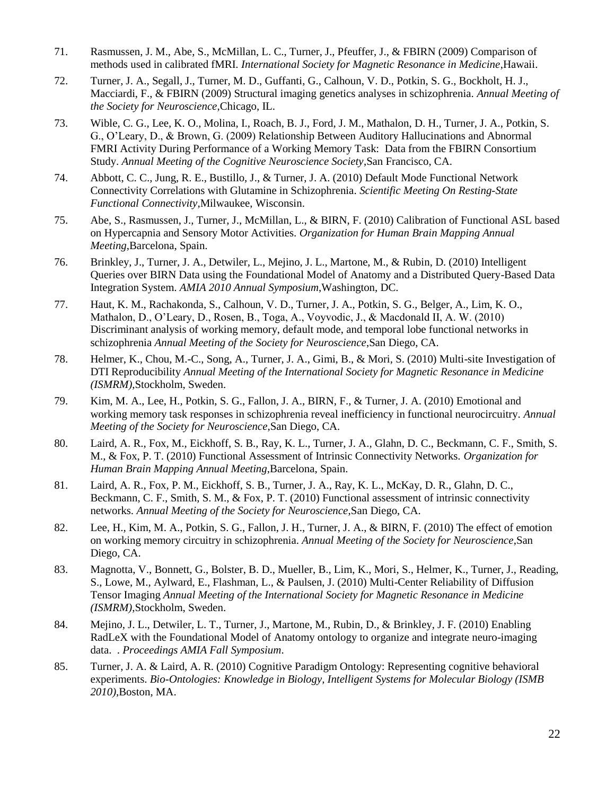- 71. Rasmussen, J. M., Abe, S., McMillan, L. C., Turner, J., Pfeuffer, J., & FBIRN (2009) Comparison of methods used in calibrated fMRI. *International Society for Magnetic Resonance in Medicine*,Hawaii.
- 72. Turner, J. A., Segall, J., Turner, M. D., Guffanti, G., Calhoun, V. D., Potkin, S. G., Bockholt, H. J., Macciardi, F., & FBIRN (2009) Structural imaging genetics analyses in schizophrenia. *Annual Meeting of the Society for Neuroscience*,Chicago, IL.
- 73. Wible, C. G., Lee, K. O., Molina, I., Roach, B. J., Ford, J. M., Mathalon, D. H., Turner, J. A., Potkin, S. G., O'Leary, D., & Brown, G. (2009) Relationship Between Auditory Hallucinations and Abnormal FMRI Activity During Performance of a Working Memory Task: Data from the FBIRN Consortium Study. *Annual Meeting of the Cognitive Neuroscience Society*,San Francisco, CA.
- 74. Abbott, C. C., Jung, R. E., Bustillo, J., & Turner, J. A. (2010) Default Mode Functional Network Connectivity Correlations with Glutamine in Schizophrenia. *Scientific Meeting On Resting-State Functional Connectivity*,Milwaukee, Wisconsin.
- 75. Abe, S., Rasmussen, J., Turner, J., McMillan, L., & BIRN, F. (2010) Calibration of Functional ASL based on Hypercapnia and Sensory Motor Activities. *Organization for Human Brain Mapping Annual Meeting*,Barcelona, Spain.
- 76. Brinkley, J., Turner, J. A., Detwiler, L., Mejino, J. L., Martone, M., & Rubin, D. (2010) Intelligent Queries over BIRN Data using the Foundational Model of Anatomy and a Distributed Query-Based Data Integration System. *AMIA 2010 Annual Symposium*,Washington, DC.
- 77. Haut, K. M., Rachakonda, S., Calhoun, V. D., Turner, J. A., Potkin, S. G., Belger, A., Lim, K. O., Mathalon, D., O'Leary, D., Rosen, B., Toga, A., Voyvodic, J., & Macdonald II, A. W. (2010) Discriminant analysis of working memory, default mode, and temporal lobe functional networks in schizophrenia *Annual Meeting of the Society for Neuroscience*,San Diego, CA.
- 78. Helmer, K., Chou, M.-C., Song, A., Turner, J. A., Gimi, B., & Mori, S. (2010) Multi-site Investigation of DTI Reproducibility *Annual Meeting of the International Society for Magnetic Resonance in Medicine (ISMRM)*,Stockholm, Sweden.
- 79. Kim, M. A., Lee, H., Potkin, S. G., Fallon, J. A., BIRN, F., & Turner, J. A. (2010) Emotional and working memory task responses in schizophrenia reveal inefficiency in functional neurocircuitry. *Annual Meeting of the Society for Neuroscience*,San Diego, CA.
- 80. Laird, A. R., Fox, M., Eickhoff, S. B., Ray, K. L., Turner, J. A., Glahn, D. C., Beckmann, C. F., Smith, S. M., & Fox, P. T. (2010) Functional Assessment of Intrinsic Connectivity Networks. *Organization for Human Brain Mapping Annual Meeting*,Barcelona, Spain.
- 81. Laird, A. R., Fox, P. M., Eickhoff, S. B., Turner, J. A., Ray, K. L., McKay, D. R., Glahn, D. C., Beckmann, C. F., Smith, S. M., & Fox, P. T. (2010) Functional assessment of intrinsic connectivity networks. *Annual Meeting of the Society for Neuroscience*,San Diego, CA.
- 82. Lee, H., Kim, M. A., Potkin, S. G., Fallon, J. H., Turner, J. A., & BIRN, F. (2010) The effect of emotion on working memory circuitry in schizophrenia. *Annual Meeting of the Society for Neuroscience*,San Diego, CA.
- 83. Magnotta, V., Bonnett, G., Bolster, B. D., Mueller, B., Lim, K., Mori, S., Helmer, K., Turner, J., Reading, S., Lowe, M., Aylward, E., Flashman, L., & Paulsen, J. (2010) Multi-Center Reliability of Diffusion Tensor Imaging *Annual Meeting of the International Society for Magnetic Resonance in Medicine (ISMRM)*,Stockholm, Sweden.
- 84. Mejino, J. L., Detwiler, L. T., Turner, J., Martone, M., Rubin, D., & Brinkley, J. F. (2010) Enabling RadLeX with the Foundational Model of Anatomy ontology to organize and integrate neuro-imaging data. . *Proceedings AMIA Fall Symposium*.
- 85. Turner, J. A. & Laird, A. R. (2010) Cognitive Paradigm Ontology: Representing cognitive behavioral experiments. *Bio-Ontologies: Knowledge in Biology, Intelligent Systems for Molecular Biology (ISMB 2010)*,Boston, MA.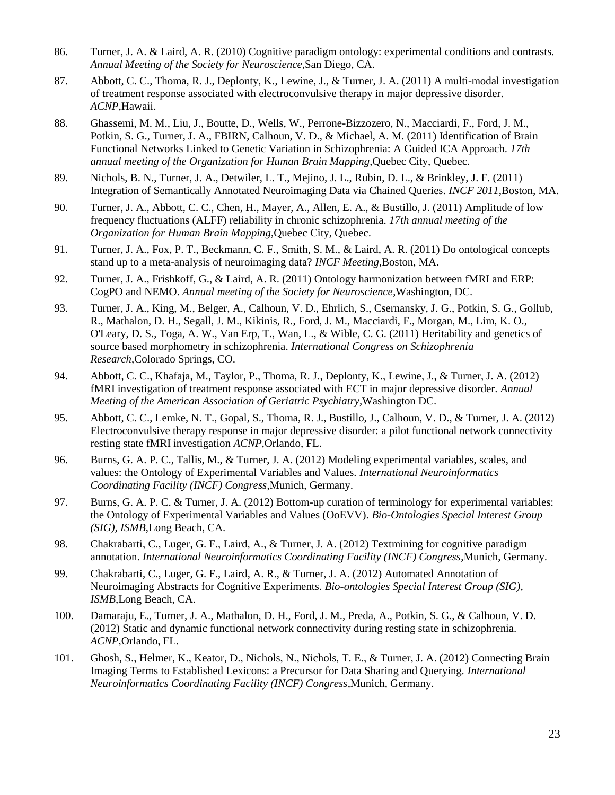- 86. Turner, J. A. & Laird, A. R. (2010) Cognitive paradigm ontology: experimental conditions and contrasts. *Annual Meeting of the Society for Neuroscience*,San Diego, CA.
- 87. Abbott, C. C., Thoma, R. J., Deplonty, K., Lewine, J., & Turner, J. A. (2011) A multi-modal investigation of treatment response associated with electroconvulsive therapy in major depressive disorder. *ACNP*,Hawaii.
- 88. Ghassemi, M. M., Liu, J., Boutte, D., Wells, W., Perrone-Bizzozero, N., Macciardi, F., Ford, J. M., Potkin, S. G., Turner, J. A., FBIRN, Calhoun, V. D., & Michael, A. M. (2011) Identification of Brain Functional Networks Linked to Genetic Variation in Schizophrenia: A Guided ICA Approach. *17th annual meeting of the Organization for Human Brain Mapping*,Quebec City, Quebec.
- 89. Nichols, B. N., Turner, J. A., Detwiler, L. T., Mejino, J. L., Rubin, D. L., & Brinkley, J. F. (2011) Integration of Semantically Annotated Neuroimaging Data via Chained Queries. *INCF 2011*,Boston, MA.
- 90. Turner, J. A., Abbott, C. C., Chen, H., Mayer, A., Allen, E. A., & Bustillo, J. (2011) Amplitude of low frequency fluctuations (ALFF) reliability in chronic schizophrenia. *17th annual meeting of the Organization for Human Brain Mapping*,Quebec City, Quebec.
- 91. Turner, J. A., Fox, P. T., Beckmann, C. F., Smith, S. M., & Laird, A. R. (2011) Do ontological concepts stand up to a meta-analysis of neuroimaging data? *INCF Meeting*,Boston, MA.
- 92. Turner, J. A., Frishkoff, G., & Laird, A. R. (2011) Ontology harmonization between fMRI and ERP: CogPO and NEMO. *Annual meeting of the Society for Neuroscience*,Washington, DC.
- 93. Turner, J. A., King, M., Belger, A., Calhoun, V. D., Ehrlich, S., Csernansky, J. G., Potkin, S. G., Gollub, R., Mathalon, D. H., Segall, J. M., Kikinis, R., Ford, J. M., Macciardi, F., Morgan, M., Lim, K. O., O'Leary, D. S., Toga, A. W., Van Erp, T., Wan, L., & Wible, C. G. (2011) Heritability and genetics of source based morphometry in schizophrenia. *International Congress on Schizophrenia Research*,Colorado Springs, CO.
- 94. Abbott, C. C., Khafaja, M., Taylor, P., Thoma, R. J., Deplonty, K., Lewine, J., & Turner, J. A. (2012) fMRI investigation of treatment response associated with ECT in major depressive disorder. *Annual Meeting of the American Association of Geriatric Psychiatry*,Washington DC.
- 95. Abbott, C. C., Lemke, N. T., Gopal, S., Thoma, R. J., Bustillo, J., Calhoun, V. D., & Turner, J. A. (2012) Electroconvulsive therapy response in major depressive disorder: a pilot functional network connectivity resting state fMRI investigation *ACNP*,Orlando, FL.
- 96. Burns, G. A. P. C., Tallis, M., & Turner, J. A. (2012) Modeling experimental variables, scales, and values: the Ontology of Experimental Variables and Values. *International Neuroinformatics Coordinating Facility (INCF) Congress*,Munich, Germany.
- 97. Burns, G. A. P. C. & Turner, J. A. (2012) Bottom-up curation of terminology for experimental variables: the Ontology of Experimental Variables and Values (OoEVV). *Bio-Ontologies Special Interest Group (SIG), ISMB*,Long Beach, CA.
- 98. Chakrabarti, C., Luger, G. F., Laird, A., & Turner, J. A. (2012) Textmining for cognitive paradigm annotation. *International Neuroinformatics Coordinating Facility (INCF) Congress*,Munich, Germany.
- 99. Chakrabarti, C., Luger, G. F., Laird, A. R., & Turner, J. A. (2012) Automated Annotation of Neuroimaging Abstracts for Cognitive Experiments. *Bio-ontologies Special Interest Group (SIG), ISMB*,Long Beach, CA.
- 100. Damaraju, E., Turner, J. A., Mathalon, D. H., Ford, J. M., Preda, A., Potkin, S. G., & Calhoun, V. D. (2012) Static and dynamic functional network connectivity during resting state in schizophrenia. *ACNP*,Orlando, FL.
- 101. Ghosh, S., Helmer, K., Keator, D., Nichols, N., Nichols, T. E., & Turner, J. A. (2012) Connecting Brain Imaging Terms to Established Lexicons: a Precursor for Data Sharing and Querying. *International Neuroinformatics Coordinating Facility (INCF) Congress*,Munich, Germany.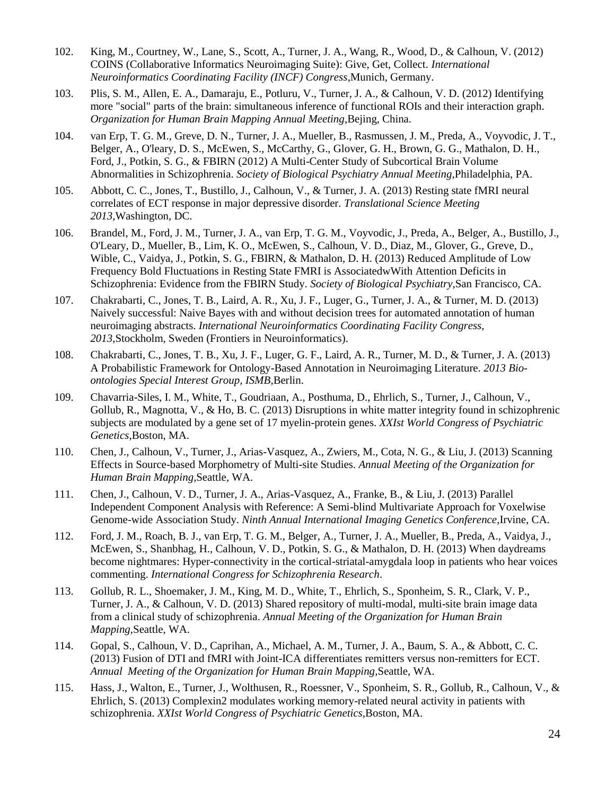- 102. King, M., Courtney, W., Lane, S., Scott, A., Turner, J. A., Wang, R., Wood, D., & Calhoun, V. (2012) COINS (Collaborative Informatics Neuroimaging Suite): Give, Get, Collect. *International Neuroinformatics Coordinating Facility (INCF) Congress*,Munich, Germany.
- 103. Plis, S. M., Allen, E. A., Damaraju, E., Potluru, V., Turner, J. A., & Calhoun, V. D. (2012) Identifying more "social" parts of the brain: simultaneous inference of functional ROIs and their interaction graph. *Organization for Human Brain Mapping Annual Meeting*,Bejing, China.
- 104. van Erp, T. G. M., Greve, D. N., Turner, J. A., Mueller, B., Rasmussen, J. M., Preda, A., Voyvodic, J. T., Belger, A., O'leary, D. S., McEwen, S., McCarthy, G., Glover, G. H., Brown, G. G., Mathalon, D. H., Ford, J., Potkin, S. G., & FBIRN (2012) A Multi-Center Study of Subcortical Brain Volume Abnormalities in Schizophrenia. *Society of Biological Psychiatry Annual Meeting*,Philadelphia, PA.
- 105. Abbott, C. C., Jones, T., Bustillo, J., Calhoun, V., & Turner, J. A. (2013) Resting state fMRI neural correlates of ECT response in major depressive disorder. *Translational Science Meeting 2013*,Washington, DC.
- 106. Brandel, M., Ford, J. M., Turner, J. A., van Erp, T. G. M., Voyvodic, J., Preda, A., Belger, A., Bustillo, J., O'Leary, D., Mueller, B., Lim, K. O., McEwen, S., Calhoun, V. D., Diaz, M., Glover, G., Greve, D., Wible, C., Vaidya, J., Potkin, S. G., FBIRN, & Mathalon, D. H. (2013) Reduced Amplitude of Low Frequency Bold Fluctuations in Resting State FMRI is AssociatedwWith Attention Deficits in Schizophrenia: Evidence from the FBIRN Study. *Society of Biological Psychiatry*,San Francisco, CA.
- 107. Chakrabarti, C., Jones, T. B., Laird, A. R., Xu, J. F., Luger, G., Turner, J. A., & Turner, M. D. (2013) Naively successful: Naive Bayes with and without decision trees for automated annotation of human neuroimaging abstracts. *International Neuroinformatics Coordinating Facility Congress, 2013*,Stockholm, Sweden (Frontiers in Neuroinformatics).
- 108. Chakrabarti, C., Jones, T. B., Xu, J. F., Luger, G. F., Laird, A. R., Turner, M. D., & Turner, J. A. (2013) A Probabilistic Framework for Ontology-Based Annotation in Neuroimaging Literature. *2013 Bioontologies Special Interest Group, ISMB*,Berlin.
- 109. Chavarria-Siles, I. M., White, T., Goudriaan, A., Posthuma, D., Ehrlich, S., Turner, J., Calhoun, V., Gollub, R., Magnotta, V., & Ho, B. C. (2013) Disruptions in white matter integrity found in schizophrenic subjects are modulated by a gene set of 17 myelin-protein genes. *XXIst World Congress of Psychiatric Genetics*,Boston, MA.
- 110. Chen, J., Calhoun, V., Turner, J., Arias-Vasquez, A., Zwiers, M., Cota, N. G., & Liu, J. (2013) Scanning Effects in Source-based Morphometry of Multi-site Studies. *Annual Meeting of the Organization for Human Brain Mapping*,Seattle, WA.
- 111. Chen, J., Calhoun, V. D., Turner, J. A., Arias-Vasquez, A., Franke, B., & Liu, J. (2013) Parallel Independent Component Analysis with Reference: A Semi-blind Multivariate Approach for Voxelwise Genome-wide Association Study. *Ninth Annual International Imaging Genetics Conference*,Irvine, CA.
- 112. Ford, J. M., Roach, B. J., van Erp, T. G. M., Belger, A., Turner, J. A., Mueller, B., Preda, A., Vaidya, J., McEwen, S., Shanbhag, H., Calhoun, V. D., Potkin, S. G., & Mathalon, D. H. (2013) When daydreams become nightmares: Hyper-connectivity in the cortical-striatal-amygdala loop in patients who hear voices commenting. *International Congress for Schizophrenia Research*.
- 113. Gollub, R. L., Shoemaker, J. M., King, M. D., White, T., Ehrlich, S., Sponheim, S. R., Clark, V. P., Turner, J. A., & Calhoun, V. D. (2013) Shared repository of multi-modal, multi-site brain image data from a clinical study of schizophrenia. *Annual Meeting of the Organization for Human Brain Mapping*,Seattle, WA.
- 114. Gopal, S., Calhoun, V. D., Caprihan, A., Michael, A. M., Turner, J. A., Baum, S. A., & Abbott, C. C. (2013) Fusion of DTI and fMRI with Joint-ICA differentiates remitters versus non-remitters for ECT. *Annual Meeting of the Organization for Human Brain Mapping*,Seattle, WA.
- 115. Hass, J., Walton, E., Turner, J., Wolthusen, R., Roessner, V., Sponheim, S. R., Gollub, R., Calhoun, V., & Ehrlich, S. (2013) Complexin2 modulates working memory-related neural activity in patients with schizophrenia. *XXIst World Congress of Psychiatric Genetics*,Boston, MA.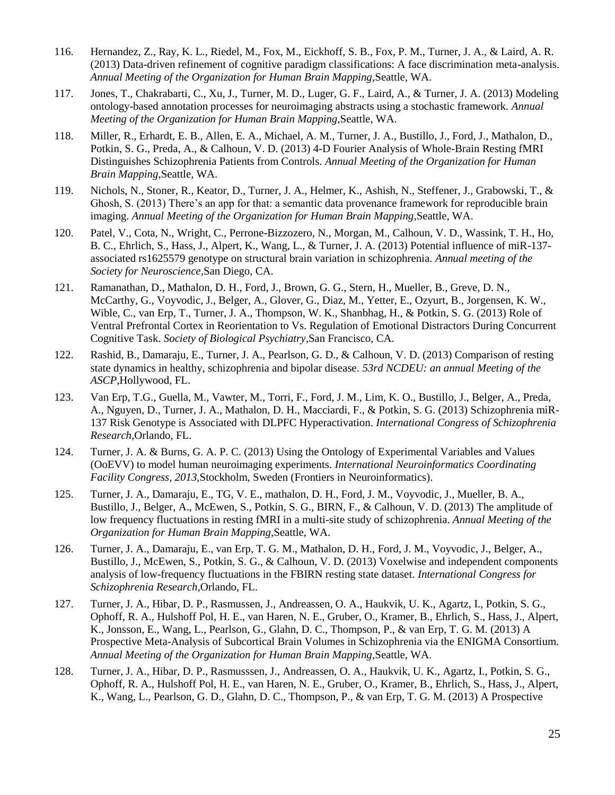- 116. Hernandez, Z., Ray, K. L., Riedel, M., Fox, M., Eickhoff, S. B., Fox, P. M., Turner, J. A., & Laird, A. R. (2013) Data-driven refinement of cognitive paradigm classifications: A face discrimination meta-analysis. *Annual Meeting of the Organization for Human Brain Mapping*,Seattle, WA.
- 117. Jones, T., Chakrabarti, C., Xu, J., Turner, M. D., Luger, G. F., Laird, A., & Turner, J. A. (2013) Modeling ontology-based annotation processes for neuroimaging abstracts using a stochastic framework. *Annual Meeting of the Organization for Human Brain Mapping*,Seattle, WA.
- 118. Miller, R., Erhardt, E. B., Allen, E. A., Michael, A. M., Turner, J. A., Bustillo, J., Ford, J., Mathalon, D., Potkin, S. G., Preda, A., & Calhoun, V. D. (2013) 4-D Fourier Analysis of Whole-Brain Resting fMRI Distinguishes Schizophrenia Patients from Controls. *Annual Meeting of the Organization for Human Brain Mapping*,Seattle, WA.
- 119. Nichols, N., Stoner, R., Keator, D., Turner, J. A., Helmer, K., Ashish, N., Steffener, J., Grabowski, T., & Ghosh, S. (2013) There's an app for that: a semantic data provenance framework for reproducible brain imaging. *Annual Meeting of the Organization for Human Brain Mapping*,Seattle, WA.
- 120. Patel, V., Cota, N., Wright, C., Perrone-Bizzozero, N., Morgan, M., Calhoun, V. D., Wassink, T. H., Ho, B. C., Ehrlich, S., Hass, J., Alpert, K., Wang, L., & Turner, J. A. (2013) Potential influence of miR-137 associated rs1625579 genotype on structural brain variation in schizophrenia. *Annual meeting of the Society for Neuroscience*,San Diego, CA.
- 121. Ramanathan, D., Mathalon, D. H., Ford, J., Brown, G. G., Stern, H., Mueller, B., Greve, D. N., McCarthy, G., Voyvodic, J., Belger, A., Glover, G., Diaz, M., Yetter, E., Ozyurt, B., Jorgensen, K. W., Wible, C., van Erp, T., Turner, J. A., Thompson, W. K., Shanbhag, H., & Potkin, S. G. (2013) Role of Ventral Prefrontal Cortex in Reorientation to Vs. Regulation of Emotional Distractors During Concurrent Cognitive Task. *Society of Biological Psychiatry*,San Francisco, CA.
- 122. Rashid, B., Damaraju, E., Turner, J. A., Pearlson, G. D., & Calhoun, V. D. (2013) Comparison of resting state dynamics in healthy, schizophrenia and bipolar disease. *53rd NCDEU: an annual Meeting of the ASCP*,Hollywood, FL.
- 123. Van Erp, T.G., Guella, M., Vawter, M., Torri, F., Ford, J. M., Lim, K. O., Bustillo, J., Belger, A., Preda, A., Nguyen, D., Turner, J. A., Mathalon, D. H., Macciardi, F., & Potkin, S. G. (2013) Schizophrenia miR-137 Risk Genotype is Associated with DLPFC Hyperactivation. *International Congress of Schizophrenia Research*,Orlando, FL.
- 124. Turner, J. A. & Burns, G. A. P. C. (2013) Using the Ontology of Experimental Variables and Values (OoEVV) to model human neuroimaging experiments. *International Neuroinformatics Coordinating Facility Congress, 2013*,Stockholm, Sweden (Frontiers in Neuroinformatics).
- 125. Turner, J. A., Damaraju, E., TG, V. E., mathalon, D. H., Ford, J. M., Voyvodic, J., Mueller, B. A., Bustillo, J., Belger, A., McEwen, S., Potkin, S. G., BIRN, F., & Calhoun, V. D. (2013) The amplitude of low frequency fluctuations in resting fMRI in a multi-site study of schizophrenia. *Annual Meeting of the Organization for Human Brain Mapping*,Seattle, WA.
- 126. Turner, J. A., Damaraju, E., van Erp, T. G. M., Mathalon, D. H., Ford, J. M., Voyvodic, J., Belger, A., Bustillo, J., McEwen, S., Potkin, S. G., & Calhoun, V. D. (2013) Voxelwise and independent components analysis of low-frequency fluctuations in the FBIRN resting state dataset. *International Congress for Schizophrenia Research*,Orlando, FL.
- 127. Turner, J. A., Hibar, D. P., Rasmussen, J., Andreassen, O. A., Haukvik, U. K., Agartz, I., Potkin, S. G., Ophoff, R. A., Hulshoff Pol, H. E., van Haren, N. E., Gruber, O., Kramer, B., Ehrlich, S., Hass, J., Alpert, K., Jonsson, E., Wang, L., Pearlson, G., Glahn, D. C., Thompson, P., & van Erp, T. G. M. (2013) A Prospective Meta-Analysis of Subcortical Brain Volumes in Schizophrenia via the ENIGMA Consortium. *Annual Meeting of the Organization for Human Brain Mapping*,Seattle, WA.
- 128. Turner, J. A., Hibar, D. P., Rasmusssen, J., Andreassen, O. A., Haukvik, U. K., Agartz, I., Potkin, S. G., Ophoff, R. A., Hulshoff Pol, H. E., van Haren, N. E., Gruber, O., Kramer, B., Ehrlich, S., Hass, J., Alpert, K., Wang, L., Pearlson, G. D., Glahn, D. C., Thompson, P., & van Erp, T. G. M. (2013) A Prospective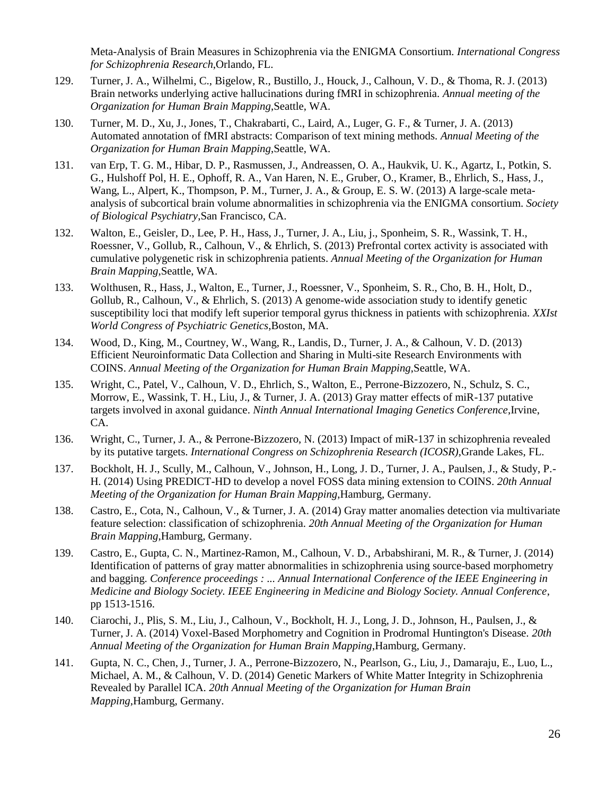Meta-Analysis of Brain Measures in Schizophrenia via the ENIGMA Consortium. *International Congress for Schizophrenia Research*,Orlando, FL.

- 129. Turner, J. A., Wilhelmi, C., Bigelow, R., Bustillo, J., Houck, J., Calhoun, V. D., & Thoma, R. J. (2013) Brain networks underlying active hallucinations during fMRI in schizophrenia. *Annual meeting of the Organization for Human Brain Mapping*,Seattle, WA.
- 130. Turner, M. D., Xu, J., Jones, T., Chakrabarti, C., Laird, A., Luger, G. F., & Turner, J. A. (2013) Automated annotation of fMRI abstracts: Comparison of text mining methods. *Annual Meeting of the Organization for Human Brain Mapping*,Seattle, WA.
- 131. van Erp, T. G. M., Hibar, D. P., Rasmussen, J., Andreassen, O. A., Haukvik, U. K., Agartz, I., Potkin, S. G., Hulshoff Pol, H. E., Ophoff, R. A., Van Haren, N. E., Gruber, O., Kramer, B., Ehrlich, S., Hass, J., Wang, L., Alpert, K., Thompson, P. M., Turner, J. A., & Group, E. S. W. (2013) A large-scale metaanalysis of subcortical brain volume abnormalities in schizophrenia via the ENIGMA consortium. *Society of Biological Psychiatry*,San Francisco, CA.
- 132. Walton, E., Geisler, D., Lee, P. H., Hass, J., Turner, J. A., Liu, j., Sponheim, S. R., Wassink, T. H., Roessner, V., Gollub, R., Calhoun, V., & Ehrlich, S. (2013) Prefrontal cortex activity is associated with cumulative polygenetic risk in schizophrenia patients. *Annual Meeting of the Organization for Human Brain Mapping*,Seattle, WA.
- 133. Wolthusen, R., Hass, J., Walton, E., Turner, J., Roessner, V., Sponheim, S. R., Cho, B. H., Holt, D., Gollub, R., Calhoun, V., & Ehrlich, S. (2013) A genome-wide association study to identify genetic susceptibility loci that modify left superior temporal gyrus thickness in patients with schizophrenia. *XXIst World Congress of Psychiatric Genetics*,Boston, MA.
- 134. Wood, D., King, M., Courtney, W., Wang, R., Landis, D., Turner, J. A., & Calhoun, V. D. (2013) Efficient Neuroinformatic Data Collection and Sharing in Multi-site Research Environments with COINS. *Annual Meeting of the Organization for Human Brain Mapping*,Seattle, WA.
- 135. Wright, C., Patel, V., Calhoun, V. D., Ehrlich, S., Walton, E., Perrone-Bizzozero, N., Schulz, S. C., Morrow, E., Wassink, T. H., Liu, J., & Turner, J. A. (2013) Gray matter effects of miR-137 putative targets involved in axonal guidance. *Ninth Annual International Imaging Genetics Conference*,Irvine, CA.
- 136. Wright, C., Turner, J. A., & Perrone-Bizzozero, N. (2013) Impact of miR-137 in schizophrenia revealed by its putative targets. *International Congress on Schizophrenia Research (ICOSR)*,Grande Lakes, FL.
- 137. Bockholt, H. J., Scully, M., Calhoun, V., Johnson, H., Long, J. D., Turner, J. A., Paulsen, J., & Study, P.- H. (2014) Using PREDICT-HD to develop a novel FOSS data mining extension to COINS. *20th Annual Meeting of the Organization for Human Brain Mapping*,Hamburg, Germany.
- 138. Castro, E., Cota, N., Calhoun, V., & Turner, J. A. (2014) Gray matter anomalies detection via multivariate feature selection: classification of schizophrenia. *20th Annual Meeting of the Organization for Human Brain Mapping*,Hamburg, Germany.
- 139. Castro, E., Gupta, C. N., Martinez-Ramon, M., Calhoun, V. D., Arbabshirani, M. R., & Turner, J. (2014) Identification of patterns of gray matter abnormalities in schizophrenia using source-based morphometry and bagging. *Conference proceedings : ... Annual International Conference of the IEEE Engineering in Medicine and Biology Society. IEEE Engineering in Medicine and Biology Society. Annual Conference*, pp 1513-1516.
- 140. Ciarochi, J., Plis, S. M., Liu, J., Calhoun, V., Bockholt, H. J., Long, J. D., Johnson, H., Paulsen, J., & Turner, J. A. (2014) Voxel-Based Morphometry and Cognition in Prodromal Huntington's Disease. *20th Annual Meeting of the Organization for Human Brain Mapping*,Hamburg, Germany.
- 141. Gupta, N. C., Chen, J., Turner, J. A., Perrone-Bizzozero, N., Pearlson, G., Liu, J., Damaraju, E., Luo, L., Michael, A. M., & Calhoun, V. D. (2014) Genetic Markers of White Matter Integrity in Schizophrenia Revealed by Parallel ICA. *20th Annual Meeting of the Organization for Human Brain Mapping*,Hamburg, Germany.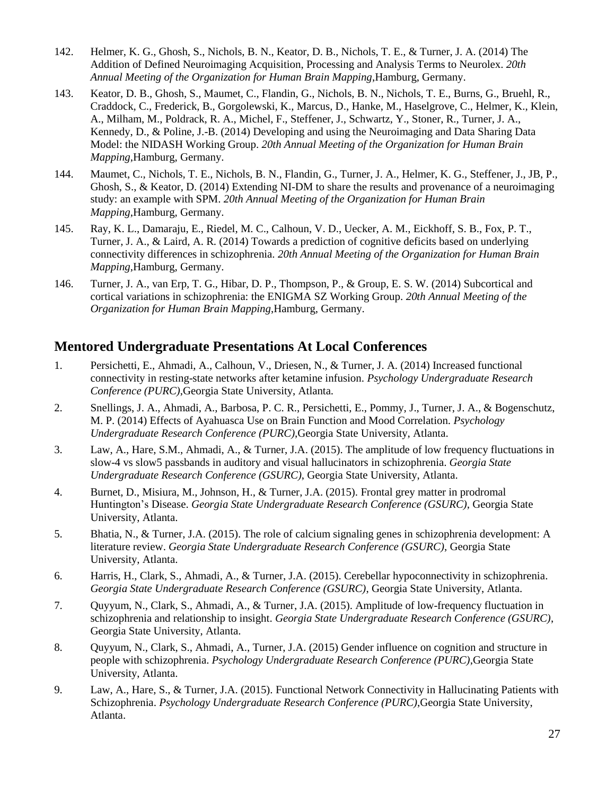- 142. Helmer, K. G., Ghosh, S., Nichols, B. N., Keator, D. B., Nichols, T. E., & Turner, J. A. (2014) The Addition of Defined Neuroimaging Acquisition, Processing and Analysis Terms to Neurolex. *20th Annual Meeting of the Organization for Human Brain Mapping*,Hamburg, Germany.
- 143. Keator, D. B., Ghosh, S., Maumet, C., Flandin, G., Nichols, B. N., Nichols, T. E., Burns, G., Bruehl, R., Craddock, C., Frederick, B., Gorgolewski, K., Marcus, D., Hanke, M., Haselgrove, C., Helmer, K., Klein, A., Milham, M., Poldrack, R. A., Michel, F., Steffener, J., Schwartz, Y., Stoner, R., Turner, J. A., Kennedy, D., & Poline, J.-B. (2014) Developing and using the Neuroimaging and Data Sharing Data Model: the NIDASH Working Group. *20th Annual Meeting of the Organization for Human Brain Mapping*,Hamburg, Germany.
- 144. Maumet, C., Nichols, T. E., Nichols, B. N., Flandin, G., Turner, J. A., Helmer, K. G., Steffener, J., JB, P., Ghosh, S., & Keator, D. (2014) Extending NI-DM to share the results and provenance of a neuroimaging study: an example with SPM. *20th Annual Meeting of the Organization for Human Brain Mapping*,Hamburg, Germany.
- 145. Ray, K. L., Damaraju, E., Riedel, M. C., Calhoun, V. D., Uecker, A. M., Eickhoff, S. B., Fox, P. T., Turner, J. A., & Laird, A. R. (2014) Towards a prediction of cognitive deficits based on underlying connectivity differences in schizophrenia. *20th Annual Meeting of the Organization for Human Brain Mapping*,Hamburg, Germany.
- 146. Turner, J. A., van Erp, T. G., Hibar, D. P., Thompson, P., & Group, E. S. W. (2014) Subcortical and cortical variations in schizophrenia: the ENIGMA SZ Working Group. *20th Annual Meeting of the Organization for Human Brain Mapping*,Hamburg, Germany.

## **Mentored Undergraduate Presentations At Local Conferences**

- 1. Persichetti, E., Ahmadi, A., Calhoun, V., Driesen, N., & Turner, J. A. (2014) Increased functional connectivity in resting-state networks after ketamine infusion. *Psychology Undergraduate Research Conference (PURC)*,Georgia State University, Atlanta.
- 2. Snellings, J. A., Ahmadi, A., Barbosa, P. C. R., Persichetti, E., Pommy, J., Turner, J. A., & Bogenschutz, M. P. (2014) Effects of Ayahuasca Use on Brain Function and Mood Correlation. *Psychology Undergraduate Research Conference (PURC)*,Georgia State University, Atlanta.
- 3. Law, A., Hare, S.M., Ahmadi, A., & Turner, J.A. (2015). The amplitude of low frequency fluctuations in slow-4 vs slow5 passbands in auditory and visual hallucinators in schizophrenia. *Georgia State Undergraduate Research Conference (GSURC)*, Georgia State University, Atlanta.
- 4. Burnet, D., Misiura, M., Johnson, H., & Turner, J.A. (2015). Frontal grey matter in prodromal Huntington's Disease. *Georgia State Undergraduate Research Conference (GSURC)*, Georgia State University, Atlanta.
- 5. Bhatia, N., & Turner, J.A. (2015). The role of calcium signaling genes in schizophrenia development: A literature review. *Georgia State Undergraduate Research Conference (GSURC)*, Georgia State University, Atlanta.
- 6. Harris, H., Clark, S., Ahmadi, A., & Turner, J.A. (2015). Cerebellar hypoconnectivity in schizophrenia. *Georgia State Undergraduate Research Conference (GSURC)*, Georgia State University, Atlanta.
- 7. Quyyum, N., Clark, S., Ahmadi, A., & Turner, J.A. (2015). Amplitude of low-frequency fluctuation in schizophrenia and relationship to insight. *Georgia State Undergraduate Research Conference (GSURC)*, Georgia State University, Atlanta.
- 8. Quyyum, N., Clark, S., Ahmadi, A., Turner, J.A. (2015) Gender influence on cognition and structure in people with schizophrenia. *Psychology Undergraduate Research Conference (PURC)*,Georgia State University, Atlanta.
- 9. Law, A., Hare, S., & Turner, J.A. (2015). Functional Network Connectivity in Hallucinating Patients with Schizophrenia. *Psychology Undergraduate Research Conference (PURC)*,Georgia State University, Atlanta.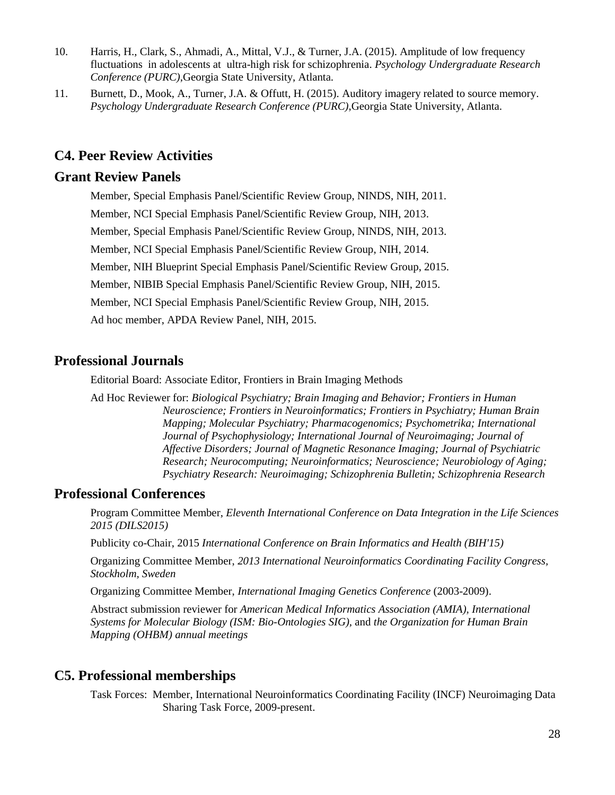- 10. Harris, H., Clark, S., Ahmadi, A., Mittal, V.J., & Turner, J.A. (2015). Amplitude of low frequency fluctuations in adolescents at ultra-high risk for schizophrenia. *Psychology Undergraduate Research Conference (PURC)*,Georgia State University, Atlanta.
- 11. Burnett, D., Mook, A., Turner, J.A. & Offutt, H. (2015). Auditory imagery related to source memory. *Psychology Undergraduate Research Conference (PURC)*,Georgia State University, Atlanta.

### **C4. Peer Review Activities**

#### **Grant Review Panels**

Member, Special Emphasis Panel/Scientific Review Group, NINDS, NIH, 2011. Member, NCI Special Emphasis Panel/Scientific Review Group, NIH, 2013. Member, Special Emphasis Panel/Scientific Review Group, NINDS, NIH, 2013. Member, NCI Special Emphasis Panel/Scientific Review Group, NIH, 2014. Member, NIH Blueprint Special Emphasis Panel/Scientific Review Group, 2015. Member, NIBIB Special Emphasis Panel/Scientific Review Group, NIH, 2015. Member, NCI Special Emphasis Panel/Scientific Review Group, NIH, 2015. Ad hoc member, APDA Review Panel, NIH, 2015.

#### **Professional Journals**

Editorial Board: Associate Editor, Frontiers in Brain Imaging Methods

Ad Hoc Reviewer for: *Biological Psychiatry; Brain Imaging and Behavior; Frontiers in Human Neuroscience; Frontiers in Neuroinformatics; Frontiers in Psychiatry; Human Brain Mapping; Molecular Psychiatry; Pharmacogenomics; Psychometrika; International Journal of Psychophysiology; International Journal of Neuroimaging; Journal of Affective Disorders; Journal of Magnetic Resonance Imaging; Journal of Psychiatric Research; Neurocomputing; Neuroinformatics; Neuroscience; Neurobiology of Aging; Psychiatry Research: Neuroimaging; Schizophrenia Bulletin; Schizophrenia Research*

#### **Professional Conferences**

Program Committee Member, *Eleventh International Conference on Data Integration in the Life Sciences 2015 (DILS2015)*

Publicity co-Chair, 2015 *International Conference on Brain Informatics and Health (BIH'15)*

Organizing Committee Member, *2013 International Neuroinformatics Coordinating Facility Congress, Stockholm, Sweden*

Organizing Committee Member, *International Imaging Genetics Conference* (2003-2009).

Abstract submission reviewer for *American Medical Informatics Association (AMIA), International Systems for Molecular Biology (ISM: Bio-Ontologies SIG),* and *the Organization for Human Brain Mapping (OHBM) annual meetings*

## **C5. Professional memberships**

Task Forces: Member, International Neuroinformatics Coordinating Facility (INCF) Neuroimaging Data Sharing Task Force, 2009-present.